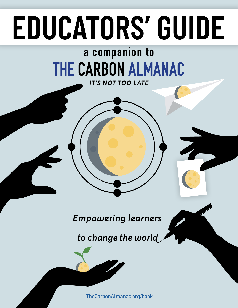# EDUCATORS' GUIDE

## **[THE CARBON ALMANAC](https://www.thecarbonalmanac.org/book) a companion to**

*IT'S NOT TOO LATE*

**Empowering learners** 

to change the world

**[TheCarbonAlmanac.org/book](https://thecarbonalmanac.org/book/)**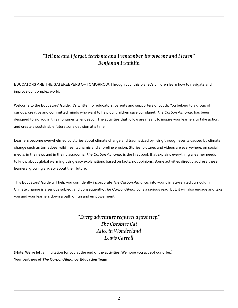#### *"Tell me and I forget, teach me and I remember, involve me and I learn." Benjamin Franklin*

EDUCATORS ARE THE GATEKEEPERS OF TOMORROW. Through you, this planet's children learn how to navigate and improve our complex world.

Welcome to the Educators' Guide. It's written for educators, parents and supporters of youth. You belong to a group of curious, creative and committed minds who want to help our children save our planet. *The Carbon Almanac* has been designed to aid you in this monumental endeavor. The activities that follow are meant to inspire your learners to take action, and create a sustainable future…one decision at a time.

Learners become overwhelmed by stories about climate change and traumatized by living through events caused by climate change such as tornadoes, wildfires, tsunamis and shoreline erosion. Stories, pictures and videos are everywhere: on social media, in the news and in their classrooms. *The Carbon Almanac* is the first book that explains everything a learner needs to know about global warming using easy explanations based on facts, not opinions. Some activities directly address these learners' growing anxiety about their future.

This Educators' Guide will help you confidently incorporate *The Carbon Almanac* into your climate-related curriculum. Climate change is a serious subject and consequently, *The Carbon Almanac* is a serious read; but, it will also engage and take you and your learners down a path of fun and empowerment.

> *"Every adventure requires a first step." The Cheshire Cat Alice in Wonderland Lewis Carroll*

(Note: We've left an invitation for you at the end of the activities. We hope you accept our offer.) **Your partners of** *The Carbon Almanac* **Education Team**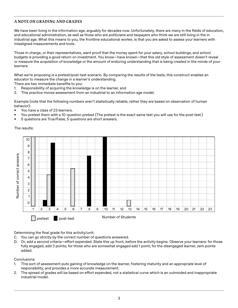#### **A NOTE ON GRADING AND GRADES**

We have been living in the information age, arguably for decades now. Unfortunately, there are many in the fields of education, and educational administration, as well as those who are politicians and taxpayers who think we are still living in the in industrial age. What this means to you, the frontline educational worker, is that you are asked to assess your learners with misaligned measurements and tools.

Those in charge, or their representatives, want proof that the money spent for your salary, school buildings, and school budgets is providing a good return on investment. You know—have known—that this old style of assessment doesn't reveal or measure the acquisition of knowledge or the amount of enduring understanding that is being created in the minds of your learners.

What we're proposing is a pretest/post-test scenario. By comparing the results of the tests, this construct enables an educator to measure the change in a learner's understanding.

There are two immediate benefits to you:

- 1. Responsibility of acquiring the knowledge is on the learner, and
- 2. This practice moves assessment from an industrial to an information age model.

Example (note that the following numbers aren't statistically reliable, rather they are based on observation of human behavior):

- You have a class of 23 learners.
- You pretest them with a 10-question pretest (The pretest is the exact same test you will use for the post-test.)
- 5 questions are True/False, 5 questions are short answers.

The results:



Determining the final grade for this activity/unit:

- C. You can go strictly by the correct number of questions answered.
- D. Or, add a second criteria—effort expended. State this up front, before the activity begins. Observe your learners: for those fully engaged, add 3 points; for those who are somewhat engaged add 1 point; for the disengaged learner, zero points added.

Conclusions:

- 1. This sort of assessment puts gaining of knowledge on the learner, fostering maturity and an appropriate level of responsibility, and provides a more accurate measurement.
- 2. The spread of grades will be based on effort expended, not a statistical curve which is an outmoded and inappropriate industrial model.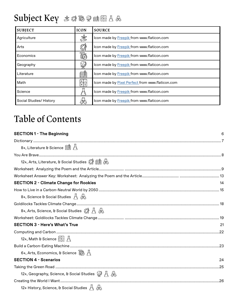## **Subject Key**

| <b>SUBJECT</b>          | <b>ICON</b>              | <b>SOURCE</b>                                    |
|-------------------------|--------------------------|--------------------------------------------------|
| Agriculture             | E                        | Icon made by Freepik from www.flaticon.com       |
| Arts                    | ுி                       | Icon made by Freepik from www.flaticon.com       |
| Economics               | 霸                        | Icon made by Freepik from www.flaticon.com       |
| Geography               | $\mathbb{S}$             | Icon made by Freepik from www.flaticon.com       |
| Literature              | ÉÜ                       | Icon made by Freepik from www.flaticon.com       |
| Math                    | $\frac{+}{\mathbf{x}}$ = | Icon made by Pixel Perfect from www.flaticon.com |
| Science                 |                          | Icon made by Freepik from www.flaticon.com       |
| Social Studies/ History |                          | Icon made by Freepik from www.flaticon.com       |

## **Table of Contents**

| <b>SECTION 1 - The Beginning</b>                                                        | 6  |
|-----------------------------------------------------------------------------------------|----|
|                                                                                         |    |
| 8+, Literature & Science $\Box$ $\Box$                                                  |    |
|                                                                                         |    |
| 12+, Arts, Literature, & Social Studies ( 图 A)                                          |    |
|                                                                                         |    |
|                                                                                         |    |
| <b>SECTION 2 - Climate Change for Rookies</b>                                           | 14 |
|                                                                                         |    |
| 8+, Science & Social Studies $\overline{A}$ $\overline{\mathcal{B}}$                    |    |
|                                                                                         |    |
| 8+, Arts, Science, & Social Studies $\mathcal{F} \uparrow \mathcal{F}$                  |    |
|                                                                                         |    |
| <b>SECTION 3 - Here's What's True</b>                                                   | 21 |
|                                                                                         |    |
| 12+, Math & Science $\frac{+1}{ x }$ A                                                  |    |
|                                                                                         |    |
| 6+, Arts, Economics, & Science $\overline{\widehat{\mathbb{S}}}\$                       |    |
| <b>SECTION 4 - Scenarios</b>                                                            | 24 |
|                                                                                         |    |
| 12+, Geography, Science, & Social Studies $\mathcal{G} \not\in \mathcal{A}$             |    |
|                                                                                         |    |
| 12+ History, Science, & Social Studies $\bigwedge \limits_{\longrightarrow} \bigotimes$ |    |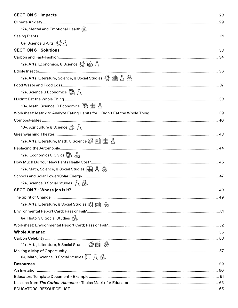#### **SECTION 5 - Impacts**

| 12+, Mental and Emotional Health $\langle\!\!\!\langle\!\!\!\langle\!\!\!\langle\!\!\;\rangle\!\!\!\rangle$ |    |
|-------------------------------------------------------------------------------------------------------------|----|
|                                                                                                             |    |
|                                                                                                             |    |
| <b>SECTION 6 - Solutions</b>                                                                                | 33 |
|                                                                                                             |    |
| 12+, Arts, Economics, & Science $\circled{?}$ $\circled{?}$ $\circled{>}$                                   |    |
|                                                                                                             |    |
| 12+, Arts, Literature, Science, & Social Studies $\mathcal{F}\left(\mathbb{R}\right)$ $\bigoplus$           |    |
|                                                                                                             |    |
| 12+, Science & Economics $\overline{\mathbb{R}}$ A                                                          |    |
|                                                                                                             |    |
| 10+, Math, Science, & Economics is Fair A                                                                   |    |
|                                                                                                             |    |
|                                                                                                             |    |
|                                                                                                             |    |
|                                                                                                             |    |
| 12+, Arts, Literature, Math, & Science © 图 日日 A                                                             |    |
|                                                                                                             |    |
| 12+, Economics & Civics as 4                                                                                |    |
|                                                                                                             |    |
| 12+, Math, Science, & Social Studies $\left \frac{+}{x-1}\right  \to \infty$                                |    |
|                                                                                                             |    |
| 12+, Science & Social Studies $\overline{A}$                                                                |    |
| SECTION 7 - Whose job is it?                                                                                | 48 |
|                                                                                                             |    |
| 12+, Arts, Literature, & Social Studies @ 图 A                                                               |    |
|                                                                                                             |    |
| 8+, History & Social Studies $\langle\!\!\!\langle\phi\!\!\!\rangle\!\!\rangle$                             |    |
|                                                                                                             |    |
| <b>Whole Almanac</b>                                                                                        | 55 |
|                                                                                                             |    |
| 12+, Arts, Literature, & Social Studies @ 图 @                                                               |    |
|                                                                                                             |    |
| 8+, Math, Science, & Social Studies $\frac{+1}{ x }$ $\bigwedge_{\infty}$                                   |    |
| <b>Resources</b>                                                                                            | 59 |
|                                                                                                             |    |
|                                                                                                             |    |
|                                                                                                             |    |
|                                                                                                             |    |

28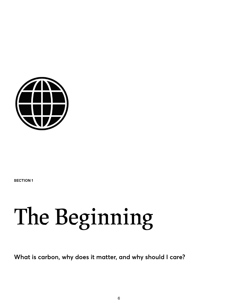<span id="page-5-0"></span>

**SECTION 1**

## **The Beginning**

**What is carbon, why does it matter, and why should I care?**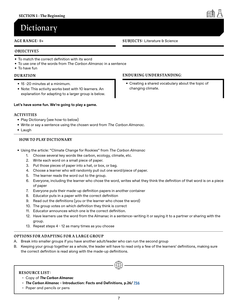## <span id="page-6-0"></span>**Dictionary**

#### **AGE RANGE:** 8+ **SUBJECTS:** Literature & Science

#### **OBJECTIVE**S

- To match the correct definition with its word
- To use one of the words from *The Carbon Almanac* in a sentence
- To have fun

#### **DURATION**

- 15 -20 minutes at a minimum.
- Note: This activity works best with 10 learners. An explanation for adapting to a larger group is below.

#### **Let's have some fun. We're going to play a game.**

#### **ACTIVITIES**

- Play Dictionary (see how-to below)
- Write or say a sentence using the chosen word from *The Carbon Almanac*.
- Laugh

#### **HOW TO PLAY DICTIONARY**

- Using the article: "Climate Change for Rookies" from *The Carbon Almanac*
	- 1. Choose several key words like carbon, ecology, climate, etc.
	- 2. Write each word on a small piece of paper.
	- 3. Put those pieces of paper into a hat, or box, or bag.
	- 4. Choose a learner who will randomly pull out one word/piece of paper.
	- 5. The learner reads the word out to the group.
	- 6. Everyone, including the learner who chose the word, writes what they think the definition of that word is on a piece of paper
	- 7. Everyone puts their made-up definition papers in another container
	- 8. Educator puts in a paper with the correct definition
	- 9. Read out the definitions (you or the learner who chose the word)
	- 10. The group votes on which definition they think is correct
	- 11. Educator announces which one is the correct definition.
	- 12. Have learners use the word from the Almanac in a sentence-writing it or saying it to a partner or sharing with the group.
	- 13. Repeat steps 4 12 as many times as you choose

#### **OPTIONS FOR ADAPTING FOR A LARGE GROUP**

- A. Break into smaller groups if you have another adult/leader who can run the second group
- B. Keeping your group together as a whole, the leader will have to read only a few of the learners' definitions, making sure the correct definition is read along with the made-up definitions.

 $\bigoplus$ 

#### **RESOURCE LIST:**

- Copy of *The Carbon Almanac*
- *The Carbon Almanac* **Introduction: Facts and Definitions, p.26/ [756](https://thecarbonalmanac.org/756/)**
- Paper and pencils or pens

#### **ENDURING UNDERSTANDING**:

• Creating a shared vocabulary about the topic of changing climate.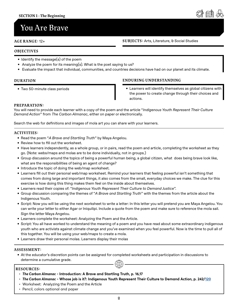## <span id="page-7-0"></span>**You Are Brave**

**AGE RANGE:** 12+ **SUBJECTS:** Arts, Literature, & Social Studies

#### **OBJECTIVES**

- Identify the message(s) of the poem
- Analyze the poem for its meaning(s). What is the poet saying to us?
- Evaluate the impact that individual, communities, and countries decisions have had on our planet and its climate.

#### **DURATION**

• Two 50-minute class periods

#### **ENDURING UNDERSTANDING**

• Learners will identify themselves as global citizens with the power to create change through their choices and actions.

#### **PREPARATION:**

You will need to provide each learner with a copy of the poem and the article "*Indigenous Youth Represent Their Culture Demand Action*" from *The Carbon Almanac*, either on paper or electronically.

Search the web for definitions and images of mola art you can share with your learners.

#### **ACTIVITIES:**

- Read the poem "*A Brave and Startling Truth*" by Maya Angelou.
- Review how to fill out the worksheet.
- Have learners independently, as a whole group, or in pairs, read the poem and article, completing the worksheet as they go. (Note: webs/maps and molas are to be done individually, not in groups.)
- Group discussion around the topics of being a powerful human being, a global citizen, what does being brave look like, what are the responsibilities of being an agent of change?
- Introduce the topic of doing the web/map worksheet.
- Learners fill out their personal web/map worksheet. Remind your learners that feeling powerful isn't something that comes from doing large and important things, it also comes from the small, everyday choices we make. The clue for this exercise is how doing this thing makes them feel on the inside about themselves.
- Learners read their copies of: "*Indigenous Youth Represent Their Culture to Demand Justice*".
- Group discussion comparing the themes of "*A Brave and Startling Truth*" with the themes from the article about the Indigenous Youth.
- Script: Now you will be using the next worksheet to write a letter: In this letter you will pretend you are Maya Angelou. You can write your letter to either Agar or Iniquilipi. Include a quote from the poem and make sure to reference the mola sail. Sign the letter Maya Angelou.
- Learners complete the worksheet: Analyzing the Poem and the Article.
- Script: You all have worked to understand the meaning of a poem and you have read about some extraordinary indigenous youth who are activists against climate change and you've examined when you feel powerful. Now is the time to pull all of this together. You will be using your web/maps to create a mola.
- Learners draw their personal molas. Learners display their molas

#### **ASSESSMENT:**

• At the educator's discretion points can be assigned for completed worksheets and participation in discussions to determine a cumulative grade.  $\bigoplus$ 

#### **RESOURCES:**

- *The Carbon Almanac* **Introduction: A Brave and Startling Truth, p. 16,17**
- *The Carbon Almanac* **Whose job is it?: Indigenous Youth Represent Their Culture to Demand Action, p. 242[/120](https://thecarbonalmanac.org/120/)**
- Worksheet: Analyzing the Poem and the Article
- Pencil, colors optional and paper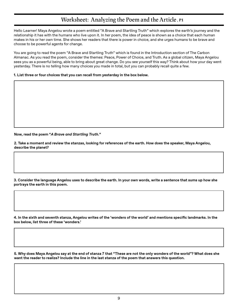### **Worksheet: Analyzing the Poem and the Article , P1**

<span id="page-8-0"></span>Hello Learner! Maya Angelou wrote a poem entitled "A Brave and Startling Truth" which explores the earth's journey and the relationship it has with the humans who live upon it. In her poem, the idea of peace is shown as a choice that each human makes in his or her own time. She shows her readers that there is power in choice, and she urges humans to be brave and choose to be powerful agents for change.

You are going to read the poem "A Brave and Startling Truth" which is found in the Introduction section of The Carbon Almanac. As you read the poem, consider the themes: Peace, Power of Choice, and Truth. As a global citizen, Maya Angelou sees you as a powerful being, able to bring about great change. Do you see yourself this way? Think about how your day went yesterday. There is no telling how many choices you made in total, but you can probably recall quite a few.

**1. List three or four choices that you can recall from yesterday in the box below.**

**Now, read the poem "***A Brave and Startling Truth.***"**

**2. Take a moment and review the stanzas, looking for references of the earth. How does the speaker, Maya Angelou, describe the planet?** 

**3. Consider the language Angelou uses to describe the earth. In your own words, write a sentence that sums up how she portrays the earth in this poem.**

**4. In the sixth and seventh stanza, Angelou writes of the 'wonders of the world' and mentions specific landmarks. In the box below, list three of these 'wonders.'** 

**5. Why does Maya Angelou say at the end of stanza 7 that "These are not the only wonders of the world"? What does she want the reader to realize? Include the line in the last stanza of the poem that answers this question.**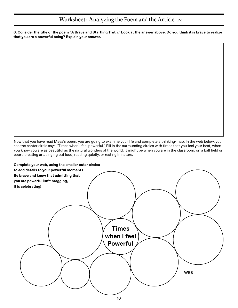#### **Worksheet: Analyzing the Poem and the Article , P2**

**6. Consider the title of the poem "A Brave and Startling Truth." Look at the answer above. Do you think it is brave to realize that you are a powerful being? Explain your answer.** 

Now that you have read Maya's poem, you are going to examine your life and complete a thinking-map. In the web below, you see the center circle says "Times when I feel powerful." Fill in the surrounding circles with times that you feel your best, when you know you are as beautiful as the natural wonders of the world. It might be when you are in the classroom, on a ball field or court, creating art, singing out loud, reading quietly, or resting in nature.

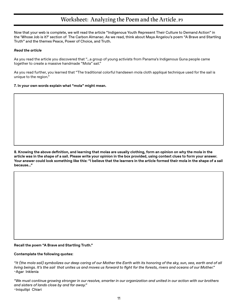#### **Worksheet: Analyzing the Poem and the Article, P3**

Now that your web is complete, we will read the article "Indigenous Youth Represent Their Culture to Demand Action" in the 'Whose Job is it?' section of The Carbon Almanac. As we read, think about Maya Angelou's poem "A Brave and Startling Truth" and the themes Peace, Power of Choice, and Truth.

#### *Read the article*

As you read the article you discovered that "...a group of young activists from Panama's Indigenous Guna people came together to create a massive handmade "Mola" sail."

As you read further, you learned that "The traditional colorful handsewn mola cloth appliqué technique used for the sail is unique to the region."

**7. In your own words explain what "mola" might mean.**

**8. Knowing the above definition, and learning that molas are usually clothing, form an opinion on why the mola in the article was in the shape of a sail. Please write your opinion in the box provided, using context clues to form your answer. Your answer could look something like this: "I believe that the learners in the article formed their mola in the shape of a sail because…"**

**Recall the poem "A Brave and Startling Truth."** 

#### **Contemplate the following quotes:**

*"It (the mola sail) symbolizes our deep caring of our Mother the Earth with its honoring of the sky, sun, sea, earth and of all living beings. It's the sail that unites us and moves us forward to fight for the forests, rivers and oceans of our Mother."*  ~Agar Inklenia

*"We must continue growing stronger in our resolve, smarter in our organization and united in our action with our brothers and sisters of lands close by and far away."*  ~Iniquilipi Chiari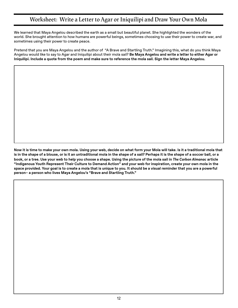### **Worksheet: Write a Letter to Agar or Iniquilipi and Draw Your Own Mola**

We learned that Maya Angelou described the earth as a small but beautiful planet. She highlighted the wonders of the world. She brought attention to how humans are powerful beings, sometimes choosing to use their power to create war, and sometimes using their power to create peace.

Pretend that you are Maya Angelou and the author of "A Brave and Startling Truth." Imagining this, what do you think Maya Angelou would like to say to Agar and Iniquilipi about their mola sail? **Be Maya Angelou and write a letter to either Agar or Iniquilipi. Include a quote from the poem and make sure to reference the mola sail. Sign the letter Maya Angelou.**

**Now it is time to make your own mola. Using your web, decide on what form your Mola will take. Is it a traditional mola that is in the shape of a blouse, or is it an untraditional mola in the shape of a sail? Perhaps it is the shape of a soccer ball, or a book, or a tree. Use your web to help you choose a shape. Using the picture of the mola sail in** *The Carbon Almanac* **article "Indigenous Youth Represent Their Culture to Demand Action" and your web for inspiration, create your own mola in the space provided. Your goal is to create a mola that is unique to you. It should be a visual reminder that you are a powerful person– a person who lives Maya Angelou's "Brave and Startling Truth."**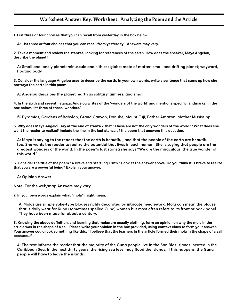#### **Worksheet Answer Key: Worksheet: Analyzing the Poem and the Article**

<span id="page-12-0"></span>**1. List three or four choices that you can recall from yesterday in the box below.**

**A: List three or four choices that you can recall from yesterday. Answers may vary.** 

**2. Take a moment and review the stanzas, looking for references of the earth. How does the speaker, Maya Angelou, describe the planet?** 

**A: Small and lonely planet; minuscule and kithless globe; mote of matter; small and drifting planet; wayward, floating body**

**3. Consider the language Angelou uses to describe the earth. In your own words, write a sentence that sums up how she portrays the earth in this poem.**

**A: Angelou describes the planet earth as solitary, aimless, and small.**

**4. In the sixth and seventh stanza, Angelou writes of the 'wonders of the world' and mentions specific landmarks. In the box below, list three of these 'wonders.'**

**A: Pyramids, Gardens of Babylon, Grand Canyon, Danube, Mount Fuji, Father Amazon, Mother Mississippi**

**5. Why does Maya Angelou say at the end of stanza 7 that "These are not the only wonders of the world"? What does she want the reader to realize? Include the line in the last stanza of the poem that answers this question.**

**A: Maya is saying to the reader that the earth is beautiful, and that the people of the earth are beautiful too. She wants the reader to realize the potential that lives in each human. She is saying that people are the greatest wonders of the world. In the poem's last stanza she says "We are the miraculous, the true wonder of this world."**

**6. Consider the title of the poem "A Brave and Startling Truth." Look at the answer above. Do you think it is brave to realize that you are a powerful being? Explain your answer.** 

**A: Opinion Answer**

**Note: For the web/map Answers may vary**

**7. In your own words explain what "mola" might mean.**

**A: Molas are simple yoke-type blouses richly decorated by intricate needlework. Mola can mean the blouse that is daily wear for Kuna (sometimes spelled Cuna) women but most often refers to its front or back panel. They have been made for about a century.**

**8. Knowing the above definition, and learning that molas are usually clothing, form an opinion on why the mola in the article was in the shape of a sail. Please write your opinion in the box provided, using context clues to form your answer. Your answer could look something like this: "I believe that the learners in the article formed their mola in the shape of a sail because…"**

**A: The text informs the reader that the majority of the Guna people live in the San Blas Islands located in the Caribbean Sea. In the next thirty years, the rising sea level may flood the islands. If this happens, the Guna people will have to leave the islands.**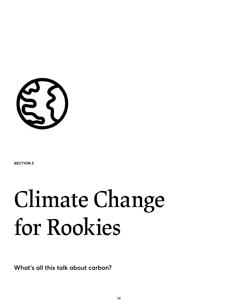<span id="page-13-0"></span>

**SECTION 2**

## **Climate Change for Rookies**

**What's all this talk about carbon?**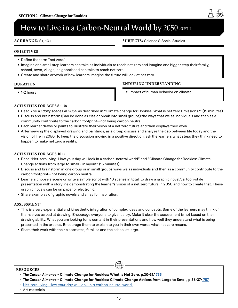## <span id="page-14-0"></span>How to Live in a Carbon-Neutral World by 2050, or11

**AGE RANGE:** 8+, 10+

**SUBJECTS:** Science & Social Studies

#### **OBJECTIVES**

- Define the term "net zero."
- Imagine one small step learners can take as individuals to reach net zero and imagine one bigger step their family, school, town, village, neighborhood can take to reach net zero.
- Create and share artwork of how learners imagine the future will look at net zero.

#### **DURATION**

• 1-2 hours

#### **ENDURING UNDERSTANDING**

• Impact of human behavior on climate

#### **ACTIVITIES FOR AGES 8 - 10:**

- Read *The 10 daily scenes in 2050* as described in "Climate change for Rookies: What is net zero Emissions?" (15 minutes)
- Discuss and brainstorm (Can be done as clas or break into small groups) the ways that we as individuals and then as a community contribute to the carbon footprint—not being carbon neutral.
- Each learner draws or paints to illustrate their vision of a net zero future and then displays their work.
- After viewing the displayed drawing and paintings, as a group discuss and analyze the gap between life today and the vision of life in 2050. To keep the discussion moving in a positive direction, ask the learners what steps they think need to happen to make net zero a reality.

#### **ACTIVITIES FOR AGES 10+:**

- Read "Net-zero living: How your day will look in a carbon-neutral world" and "Climate Change for Rookies: Climate Change actions from large to small - in layout" (15 minutes)
- Discuss and brainstorm in one group or in small groups ways we as individuals and then as a community contribute to the carbon footprint—not being carbon neutral.
- Learners choose a scene or write a simple script with 10 scenes in total to draw a graphic novel/cartoon-style presentation with a storyline demonstrating the learner's vision of a net zero future in 2050 and how to create that. These graphic novels can be on paper or electronic.
- Share examples of graphic novels and zines for inspiration.

#### **ASSESSMENT:**

- This is a very experiential and kinesthetic integration of complex ideas and concepts. Some of the learners may think of themselves as bad at drawing. Encourage everyone to give it a try. Make it clear the assessment is not based on their drawing ability. What you are looking for is content in their presentations and how well they understand what is being presented in the articles. Encourage them to explain to you in their own words what net zero means.
- Share their work with their classmates, families and the school at large.

#### **RESOURCES:**

- *The Carbon Almanac* **Climate Change for Rookies: What is Net Zero, p.30-31/ [755](https://thecarbonalmanac.org/755/)**
- *The Carbon Almanac* **Climate Change for Rookies: Climate Change Actions from Large to Small, p.36-37/ [757](https://thecarbonalmanac.org/757/)**

- [Net-zero living: How your day will look in a carbon-neutral world](https://kleanindustries.com/resources/environmental-industry-market-analysis-research/net-zero-living-how-your-day-will-look-in-a-carbon-neutral-world-read-more-https-www.newscientist.com-article-mg25133504-300/)
- Art materials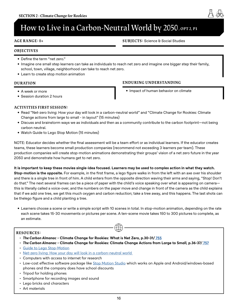## **How to Live in a Carbon-Neutral World by 2050, ort2, P1**

#### **AGE RANGE:** 8+

**SUBJECTS:** Science & Social Studies

#### **OBJECTIVES**

- Define the term "net zero."
- Imagine one small step learners can take as individuals to reach net zero and imagine one bigger step their family, school, town, village, neighborhood can take to reach net zero.
- Learn to create stop motion animation

#### **DURATION**

- A week or more
- Session duration 2 hours

#### **ENDURING UNDERSTANDING**

• Impact of human behavior on climate

#### **ACTIVITIES FIRST SESSION:**

- Read "Net-zero living: How your day will look in a carbon-neutral world" and "Climate Change for Rookies: Climate Change actions from large to small - in layout" (15 minutes)
- Discuss and brainstorm ways we as individuals and then as a community contribute to the carbon footprint—not being carbon neutral.
- Watch Guide to Lego Stop Motion (15 minutes)

NOTE: Educator decides whether the final assessment will be a team effort or as individual learners. If the educator creates teams, these learners become small production companies (recommend not exceeding 3 learners per team). These production companies will create stop-motion animations demonstrating their groups' vision of a net zero future in the year 2050 and demonstrate how humans get to net zero.

**It is important to keep these movies single-idea focused. Learners may be used to complex action in what they watch. Stop-motion is the opposite.** For example, in the first frame, a lego figure walks in from the left with an axe over his shoulder and there is a single tree in front of him. A child enters from the opposite direction waving their arms and saying, "Stop! Don't do that." The next several frames can be a piece of paper with the child's voice speaking over what is appearing on camera this is literally called a voice-over, and the numbers on the paper move and change in front of the camera as the child explains that if we add one tree, we get this much oxygen and carbon reduction; take a tree away, and this happens. The last shots can be thelego figure and a child planting a tree.

• Learners choose a scene or write a simple script with 10 scenes in total. In stop-motion animation, depending on the rate each scene takes 15-30 movements or pictures per scene. A ten-scene movie takes 150 to 300 pictures to complete, as an estimate.

 $\bigoplus$ 

#### **RESOURCES:**

- *The Carbon Almanac* **Climate Change for Rookies: What is Net Zero, p.30-31/ [755](https://thecarbonalmanac.org/755/)**
- *The Carbon Almanac* **Climate Change for Rookies: Climate Change Actions from Large to Small, p.36-37/ [757](https://thecarbonalmanac.org/757/)**
- [Guide to Lego Stop-Motion](https://www.youtube.com/watch?v=byhude3fzAQ)
- [Net-zero living: How your day will look in a carbon-neutral world](https://kleanindustries.com/resources/environmental-industry-market-analysis-research/net-zero-living-how-your-day-will-look-in-a-carbon-neutral-world-read-more-https-www.newscientist.com-article-mg25133504-300/)
- Computers with access to internet for research
- Low-cost effective software package like [Stop Motion Studio](https://www.stopmotionstudio.com/) which works on Apple and Android/windows-based phones and the company does have school discounts
- Tripod for holding phones
- Smartphone for recording images and sound
- Lego bricks and characters
- Art materials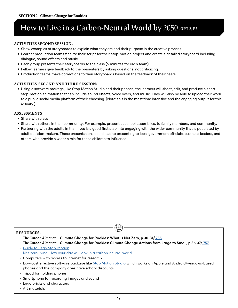## **How to Live in a Carbon-Neutral World by 2050, ort 2, P2**

#### **ACTIVITIES SECOND SESSION:**

- Show examples of storyboards to explain what they are and their purpose in the creative process.
- Learner production teams finalize their script for their stop-motion project and create a detailed storyboard including dialogue, sound effects and music.
- Each group presents their storyboards to the class (5 minutes for each team).
- Fellow learners give feedback to the presenters by asking questions, not criticizing.
- Production teams make corrections to their storyboards based on the feedback of their peers.

#### **ACTIVITIES SECOND AND THIRD SESSION:**

• Using a software package, like Stop Motion Studio and their phones, the learners will shoot, edit, and produce a short stop-motion animation that can include sound effects, voice overs, and music. They will also be able to upload their work to a public social media platform of their choosing. (Note: this is the most time intensive and the engaging output for this activity.)

#### **ASSESSMENTS**

- Share with class
- Share with others in their community: For example, present at school assemblies, to family members, and community.
- Partnering with the adults in their lives is a good first step into engaging with the wider community that is populated by adult decision-makers. These presentations could lead to presenting to local government officials, business leaders, and others who provide a wider circle for these children to influence.

#### **RESOURCES:**

- *The Carbon Almanac* **Climate Change for Rookies: What is Net Zero, p.30-31/ [755](https://thecarbonalmanac.org/755/)**
- *The Carbon Almanac* **Climate Change for Rookies: Climate Change Actions from Large to Small, p.36-37/ [757](https://thecarbonalmanac.org/757/)**

- [Guide to Lego Stop-Motion](https://www.youtube.com/watch?v=byhude3fzAQ)
- [Net-zero living: How your day will look in a carbon-neutral world](https://kleanindustries.com/resources/environmental-industry-market-analysis-research/net-zero-living-how-your-day-will-look-in-a-carbon-neutral-world-read-more-https-www.newscientist.com-article-mg25133504-300/)
- Computers with access to internet for research
- Low-cost effective software package like [Stop Motion Studio](https://www.stopmotionstudio.com/) which works on Apple and Android/windows-based phones and the company does have school discounts
- Tripod for holding phones
- Smartphone for recording images and sound
- Lego bricks and characters
- Art materials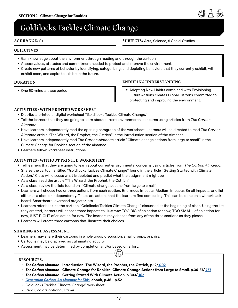## <span id="page-17-0"></span>**Goldilocks Tackles Climate Change**

#### **AGE RANGE:** 8+

#### **SUBJECTS:** Arts, Science, & Social Studies

#### **OBJECTIVES**

- Gain knowledge about the environment through reading and through the cartoon
- Assess values, attitudes and commitment needed to protect and improve the environment.
- Create new patterns of behavior by identifying, categorizing, and depicting behaviors that they currently exhibit, will exhibit soon, and aspire to exhibit in the future.

#### **DURATION**

• One 50-minute class period

#### **ENDURING UNDERSTANDING**

• Adopting New Habits combined with Envisioning Future Actions creates Global Citizens committed to protecting and improving the environment.

#### **ACTIVITIES - WITH PRINTED WORKSHEET**

- Distribute printed or digital worksheet "Goldilocks Tackles Climate Change."
- Tell the learners that they are going to learn about current environmental concerns using articles from *The Carbon Almanac*.
- Have learners independently read the opening paragraph of the worksheet. Learners will be directed to read *The Carbon Almanac* article "The Wizard, the Prophet, the Ostrich" in the Introduction section of the Almanac.
- Have learners independently read *The Carbon Almanac* article "Climate change actions from large to small" in the Climate Change for Rookies section of the almanac.
- Learners follow worksheet instructions

#### **ACTIVITIES - WITHOUT PRINTED WORKSHEET**

- Tell learners that they are going to learn about current environmental concerns using articles from *The Carbon Almanac*.
- Shares the cartoon entitled "Goldilocks Tackles Climate Change" found in the article "Getting Started with Climate Action." Class will discuss what is depicted and predict what the assignment might be
- As a class, read the article "The Wizard, the Prophet, the Ostrich"
- As a class, review the lists found on "Climate change actions from large to small"
- Learners will choose two or three actions from each section: Enormous Impacts, Medium Impacts, Small Impacts, and list either as a class or independently. These are actions that the learners find compelling. This can be done on a white/black board, Smartboard, overhead projector, etc.
- Learners refer back to the cartoon "Goldilocks Tackles Climate Change" discussed at the beginning of class. Using the list they created, learners will choose three impacts to illustrate: TOO BIG of an action for now, TOO SMALL of an action for now, JUST RIGHT of an action for now. The learners may choose from any of the three sections as they please.
- Learners will create three cartoons that illustrate their choices.

#### **SHARING AND ASSESSMENT**:

- Learners may share their cartoons in whole group discussion, small groups, or pairs.
- Cartoons may be displayed as culminating activity.
- the contract of the contract of the contract of the contract of the contract of the contract of the contract o<br>The contract of the contract of the contract of the contract of the contract of the contract of the contract o • Assessment may be determined by completion and/or based on effort.

#### **RESOURCES:**

- *The Carbon Almanac* **Introduction: The Wizard, the Prophet, the Ostrich, p.12/ [002](https://thecarbonalmanac.org/002/)**
- *The Carbon Almanac* **Climate Change for Rookies: Climate Change Actions from Large to Small, p.36-37/ [757](https://thecarbonalmanac.org/757/)**
- *The Carbon Almanac* **Getting Started With Climate Action, p.303[/ 162](https://thecarbonalmanac.org/162/)**
- *• [Generation Carbon, An Almanac for Kids](https://thecarbonalmanac.org/wp-content/uploads/2022/04/GenC_Book.pdf)***[, ebook, p.46 p.52](http://)**
- Goldilocks Tackles Climate Change" worksheet
- Pencil, colors optional, Paper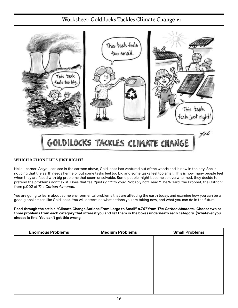### **Worksheet: Goldilocks Tackles Climate Change ,P1**

<span id="page-18-0"></span>

#### **WHICH ACTION FEELS JUST RIGHT?**

Hello Learner! As you can see in the cartoon above, Goldilocks has ventured out of the woods and is now in the city. She is noticing that the earth needs her help, but some tasks feel too big and some tasks feel too small. This is how many people feel when they are faced with big problems that seem unsolvable. Some people might become so overwhelmed, they decide to pretend the problems don't exist. Does that feel "just right" to you? Probably not! Read "The Wizard, the Prophet, the Ostrich" from p.002 of *The Carbon Almanac*.

You are going to learn about some environmental problems that are affecting the earth today, and examine how you can be a good global citizen like Goldilocks. You will determine what actions you are taking now, and what you can do in the future.

**Read through the article "Climate Change Actions From Large to Small"** *p.757* **from** *The Carbon Almanac***. Choose two or three problems from each category that interest you and list them in the boxes underneath each category. (Whatever you choose is fine! You can't get this wrong**

| <b>Enormous Problems</b> | <b>Medium Problems</b> | <b>Small Problems</b> |
|--------------------------|------------------------|-----------------------|
|                          |                        |                       |
|                          |                        |                       |
|                          |                        |                       |
|                          |                        |                       |
|                          |                        |                       |
|                          |                        |                       |
|                          |                        |                       |
|                          |                        |                       |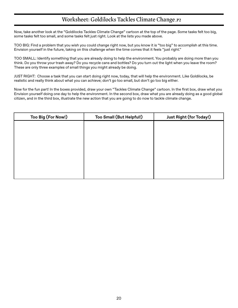### **Worksheet: Goldilocks Tackles Climate Change ,P2**

Now, take another look at the "Goldilocks Tackles Climate Change" cartoon at the top of the page. Some tasks felt too big, some tasks felt too small, and some tasks felt just right. Look at the lists you made above.

TOO BIG: Find a problem that you wish you could change right now, but you know it is "too big" to accomplish at this time. Envision yourself in the future, taking on this challenge when the time comes that it feels "just right."

TOO SMALL: Identify something that you are already doing to help the environment. You probably are doing more than you think. Do you throw your trash away? Do you recycle cans and bottles? Do you turn out the light when you leave the room? These are only three examples of small things you might already be doing.

JUST RIGHT: Choose a task that you can start doing right now, today, that will help the environment. Like Goldilocks, be realistic and really think about what you can achieve; don't go too small, but don't go too big either.

Now for the fun part! In the boxes provided, draw your own "Tackles Climate Change" cartoon. In the first box, draw what you Envision yourself doing one day to help the environment. In the second box, draw what you are already doing as a good global citizen, and in the third box, illustrate the new action that you are going to do now to tackle climate change.

| Too Big (For Now!) | Too Small (But Helpful!) | <b>Just Right (for Today!)</b> |
|--------------------|--------------------------|--------------------------------|
|                    |                          |                                |
|                    |                          |                                |
|                    |                          |                                |
|                    |                          |                                |
|                    |                          |                                |
|                    |                          |                                |
|                    |                          |                                |
|                    |                          |                                |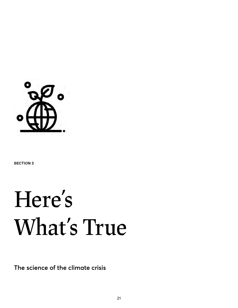<span id="page-20-0"></span>

**SECTION 3**

## **Here's What's True**

**The science of the climate crisis**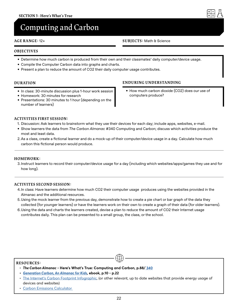## <span id="page-21-0"></span>**Computing and Carbon**

#### **AGE RANGE:** 12+

#### **OBJECTIVES**

- Determine how much carbon is produced from their own and their classmates' daily computer/device usage.
- Compile the Computer Carbon data into graphs and charts.
- Present a plan to reduce the amount of CO2 their daily computer usage contributes.

#### **DURATION**

- In class: 30-minute discussion plus 1-hour work session
- Homework: 30 minutes for research
- Presentations: 30 minutes to 1 hour (depending on the number of learners)

#### **ENDURING UNDERSTANDING**

• How much carbon dioxide (CO2) does our use of computers produce?

#### **ACTIVITIES FIRST SESSION:**

- 1. Discussion: Ask learners to brainstorm what they use their devices for each day; include apps, websites, e-mail.
- Show learners the data from *The Carbon Almanac* #340 Computing and Carbon; discuss which activities produce the most and least data.
- 2.As a class, create a fictional learner and do a mock-up of their computer/device usage in a day. Calculate how much carbon this fictional person would produce.

#### **HOMEWORK:**

3.Instruct learners to record their computer/device usage for a day (including which websites/apps/games they use and for how long).

#### **ACTIVITES SECOND SESSION:**

- 4.In class: Have learners determine how much CO2 their computer usage produces using the websites provided in the Almanac and the additional resources.
- 5.Using the mock learner from the previous day, demonstrate how to create a pie chart or bar graph of the data they collected (for younger learners) or have the learners work on their own to create a graph of their data (for older learners).
- 6.Using the data and charts the learners created, devise a plan to reduce the amount of CO2 their Internet usage contributes daily. This plan can be presented to a small group, the class, or the school.

#### **RESOURCES:**

- *The Carbon Almanac* **Here's What's True: Computing and Carbon, p.88[/ 340](https://thecarbonalmanac.org/340/)**
- *• [Generation Carbon, An Almanac for Kids](https://thecarbonalmanac.org/wp-content/uploads/2022/04/GenC_Book.pdf)***[, ebook, p.10 p](http://).22**
- [The Internet's Carbon Footprint Infographic](https://www.webfx.com/blog/marketing/carbon-footprint-internet/), (or other relevant, up to date websites that provide energy usage of devices and websites)

 $\bigoplus$ 

• [Carbon Emissions Calculator](https://www.iea.org/commentaries/the-carbon-footprint-of-streaming-video-fact-checking-the-headlines) 

#### **SUBJECTS:** Math & Science

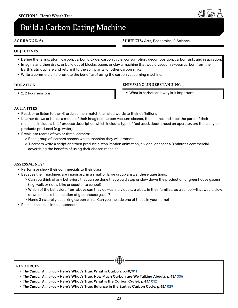## <span id="page-22-0"></span>**Build a Carbon-Eating Machine**

#### **AGE RANGE:** 6+ **SUBJECTS:** Arts, Economics, & Science

#### **OBJECTIVES**

- Define the terms: atom, carbon, carbon dioxide, carbon cycle, consumption, decomposition, carbon sink, and respiration.
- Imagine and then draw, or build out of blocks, paper, or clay a machine that would vacuum excess carbon from the Earth's atmosphere and return it to the soil, plants, or other carbon sinks.
- Write a commercial to promote the benefits of using the carbon vacuuming machine.

#### **DURATION**

• 2, 2 hour sessions

#### **ENDURING UNDERSTANDING**

• What is carbon and why is it important

#### **ACTIVITIES:**

- Read, or or listen to the (4) articles then match the listed words to their definitions
- Learner draws or builds a model of their imagined carbon vacuum cleaner, then name, and label the parts of their machine, include a brief process description which includes type of fuel used, does it need an operator, are there any biproducts produced (e.g. water)
- Break into teams of two or three learners:
	- ʦ Each group of learners choose which machine they will promote
	- ʦ Learners write a script and then produce a stop-motion animation, a video, or enact a 3 minutes commercial advertising the benefits of using their chosen machine.

#### **ASSESSMENTS:**

- Perform or show their commercials to their class
- Because their machines are imaginary, in a small or large group answer these questions:
	- ʦ Can you think of any behaviors that can be done that would stop or slow down the production of greenhouse gases? (e.g. walk or ride a bike or scooter to school)
	- ʦ Which of the behaviors from above can they do—as individuals, a class, in their families, as a school—that would slow down or cease the creation of greenhouse gases?
	- ʦ Name 3 naturally occurring carbon sinks. Can you include one of those in your home?
- Post all the ideas in the classroom

#### **RESOURCES:**

- *The Carbon Almanac* **Here's What's True: What is Carbon, p.40[/011](https://thecarbonalmanac.org/011/)**
- *The Carbon Almanac* **Here's What's True: How Much Carbon are We Talking About?, p.43/ [336](https://thecarbonalmanac.org/336/)**
- *The Carbon Almanac* **Here's What's True: What is the Carbon Cycle?, p.44/ [012](https://thecarbonalmanac.org/012/)**
- *The Carbon Almanac* **Here's What's True: Balance in the Earth's Carbon Cycle, p.45/ [029](https://thecarbonalmanac.org/029/)**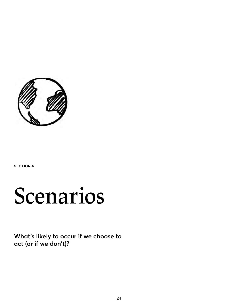<span id="page-23-0"></span>

**SECTION 4**

## **Scenarios**

**What's likely to occur if we choose to act (or if we don't)?**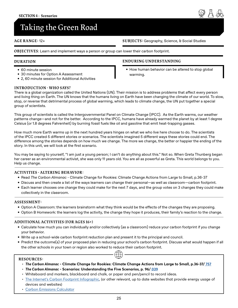## <span id="page-24-0"></span>**Taking the Green Road**

#### **AGE RANGE:** 12+

**OBJECTIVES**: Learn and implement ways a person or group can lower their carbon footprint.

#### **DURATION**

- 60 minute session
- 30 minutes for Option A Assessment
- 2, 60 minute session for Additional Activities

#### **INTRODUCTION - WHO SAYS?**

There is a global organization called the United Nations (UN). Their mission is to address problems that affect every person and living thing on Earth. The UN knows that the humans living on Earth have been changing the climate of our world. To slow, stop, or reverse that detrimental process of global warming, which leads to climate change, the UN put together a special group of scientists.

This group of scientists is called the Intergovernmental Panel on Climate Change (IPCC). As the Earth warms, our weather patterns change—and not for the better. According to the IPCC, humans have already warmed the planet by at least 1 degree Celsius (or 1.8 degrees Fahrenheit) by burning fossil fuels like oil and gasoline that emit heat-trapping gasses.

How much more Earth warms up in the next hundred years hinges on what we who live here choose to do. The scientists of the IPCC created 5 different stories or scenarios. The scientists imagined 5 different ways these stories could end. The difference among the stories depends on how much we change. The more we change, the better or happier the ending of the story. In this unit, we will look at the first scenario.

You may be saying to yourself, "I am just a young person; I can't do anything about this." Not so. When Greta Thunberg began her career as an environmental activist, she was only 11 years old. You are all as powerful as Greta. This world belongs to you. Help us change.

#### **ACTIVITIES - ALTERING BEHAVIOR:**

- Read *The Carbon Almanac* Climate Change for Rookies: Climate Change Actions from Large to Small, p.36-37
- Discuss and then create a list of the ways learners can change their personal—as well as classroom—carbon footprint.
- Each learner chooses one change they could make for the next 7 days, and the group votes on 3 changes they could make collectively in the classroom.

#### **ASSESSMENT:**

- Option A Classroom: the learners brainstorm what they think would be the effects of the changes they are proposing.
- Option B Homework: the learners log the activity, the change they hope it produces, their family's reaction to the change.

#### **ADDITIONAL ACTIVITIES (FOR AGES 16+)**

- Calculate how much you can individually and/or collectively (as a classroom) reduce your carbon footprint if you change your behavior.
- Write up a school-wide carbon footprint reduction plan and present it to the principal and council.
- Predict the outcome(s) of your proposed plan in reducing your school's carbon footprint. Discuss what would happen if all the other schools in your town or region also worked to reduce their carbon footprint.  $\bigoplus$

#### **RESOURCES:**

- *The Carbon Almanac* **Climate Change for Rookies: Climate Change Actions from Large to Small, p.36-37/ [757](https://thecarbonalmanac.org/757/)**
- *The Carbon Almanac* **Scenarios: Understanding the Five Scenarios, p. 96/ [039](https://thecarbonalmanac.org/039/)**
- Whiteboard and markers, blackboard and chalk, or paper and pen/pencil to record ideas.
- [The Internet's Carbon Footprint Infographic](https://www.webfx.com/blog/marketing/carbon-footprint-internet/), (or other relevant, up to date websites that provide energy usage of devices and websites)
- [Carbon Emissions Calculator](https://www.iea.org/commentaries/the-carbon-footprint-of-streaming-video-fact-checking-the-headlines)

**SUBJECTS:** Geography, Science, & Social Studies

- **ENDURING UNDERSTANDING**
	- How human behavior can be altered to stop global warming.

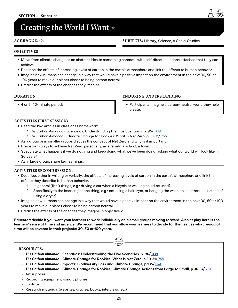## <span id="page-25-0"></span>**Creating the World I Want ,P1**

#### **AGE RANGE:** 12+

**SUBJECTS:** History, Science, & Social Studies

#### **OBJECTIVES**

- Move from climate change as an abstract idea to something concrete with self-directed actions attached that they can achieve.
- Describe the effects of increasing levels of carbon in the earth's atmosphere and link the effects to human behavior.
- Imagine how humans can change in a way that would have a positive impact on the environment in the next 30, 50 or 100 years to move our planet closer to being carbon neutral.
- Predict the effects of the changes they imagine

#### **DURATION**

• 4 or 5, 40-minute periods

#### **ENDURING UNDERSTANDING**

• Participants imagine a carbon-neutral world they help create.

#### **ACTIVITIES FIRST SESSION:**

- Read the two articles in class or as homework:
	- ʦ *The Carbon Almanac* Scenarios: Understanding the Five Scenarios, p. 96[/ 039](https://thecarbonalmanac.org/039/)
	- ʦ *The Carbon Almanac*  Climate Change for Rookies: What is Net Zero, p.30-31/ 755
- As a group or in smaller groups discuss the concept of Net Zero and why is it important.
- Brainstorm ways to achieve Net Zero, personally, as a family, a school, a town.
- Speculate what happens if we do nothing and keep doing what we've been doing, asking what our world will look like in 30 years?
- As a large group, share key learnings.

#### **ACTIVITIES SECOND SESSION:**

- Describe, either in writing or verbally, the effects of increasing levels of carbon in the earth's atmosphere and link the effects they describe to human behavior.
	- 1. In general (list 3 things, e.g.: driving a car when a bicycle or walking could be used)
	- 2. Specifically to the learner (list one thing, e.g.: not using a hairdryer, or hanging the wash on a clothesline instead of using a dryer)
- Imagine how humans can change in a way that would have a positive impact on the environment in the next 30, 50 or 100 years to move our planet closer to being carbon neutral.
- Predict the effects of the changes they imagine in objective 2.

**Educator: decide if you want your learners to work individually or in small groups moving forward. Also at play here is the learners' sense of time and urgency. We recommend that you allow your learners to decide for themselves what period of time will be covered in their projects: 30, 50 or 100 years.**

 $\bigoplus$ 

#### **RESOURCES:**

- *The Carbon Almanac* **Scenarios: Understanding the Five Scenarios, p. 96/ [039](https://thecarbonalmanac.org/039/)**
- *The Carbon Almanac* **Climate Change for Rookies: What is Net Zero, p.30-31/ 755**
- *The Carbon Almanac* **-Impacts: Biodiversity Loss and Climate Change, p.135/ [074](https://thecarbonalmanac.org/074/)**
- *The Carbon Almanac* **Climate Change for Rookies: Climate Change Actions from Large to Small, p.36-37[/ 757](https://thecarbonalmanac.org/757/)**
- Art supplies
- Recording equipment /smart phones
- Laptops
- Research materials (websites, articles, books, interviews, etc)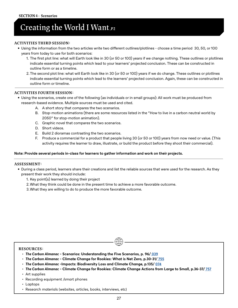## **Creating the World I Want,P2**

#### **ACTIVITIES THIRD SESSION:**

- Using the information from the two articles write two different outlines/plotlines choose a time period 30, 50, or 100 years from today to use for both scenarios:
	- 1. The first plot line: what will Earth look like in 30 (or 50 or 100) years if we change nothing. These outlines or plotlines indicate essential turning points which lead to your learners' projected conclusion. These can be constructed in outline form or as a timeline.
	- 2.The second plot line: what will Earth look like in 30 (or 50 or 100) years if we do change. These outlines or plotlines indicate essential turning points which lead to the learners' projected conclusion. Again, these can be constructed in outline form or timeline.

#### **ACTIVITIES FOURTH SESSION:**

- Using the scenarios, create one of the following (as individuals or in small groups): All work must be produced from research-based evidence. Multiple sources must be used and cited.
	- A. A short story that compares the two scenarios.
	- B. Stop-motion animations (there are some resources listed in the "How to live in a carbon neutral world by 2050" for stop-motion animation).
	- C. Graphic novel that compares the two scenarios.
	- D. Short videos.
	- E. Build 2 dioramas contrasting the two scenarios.
	- F. Produce a commercial for a product that people living 30 (or 50 or 100) years from now need or value. (This activity requires the learner to draw, illustrate, or build the product before they shoot their commercial).

#### **Note: Provide several periods in-class for learners to gather information and work on their projects.**

#### **ASSESSMENT:**

- During a class period, learners share their creations and list the reliable sources that were used for the research. As they present their work they should include:
	- 1. Key point(s) learned by doing their project
	- 2.What they think could be done in the present time to achieve a more favorable outcome.
	- 3.What they are willing to do to produce the more favorable outcome.

#### **RESOURCES:**

- *The Carbon Almanac* **Scenarios: Understanding the Five Scenarios, p. 96/ [039](https://thecarbonalmanac.org/039/)**
- *The Carbon Almanac* **Climate Change for Rookies: What is Net Zero, p.30-31/ 755**
- *The Carbon Almanac* **-Impacts: Biodiversity Loss and Climate Change, p.135/ [074](https://thecarbonalmanac.org/074/)**
- *The Carbon Almanac* **Climate Change for Rookies: Climate Change Actions from Large to Small, p.36-37[/ 757](https://thecarbonalmanac.org/757/)**

- Art supplies
- Recording equipment /smart phones
- Laptops
- Research materials (websites, articles, books, interviews, etc)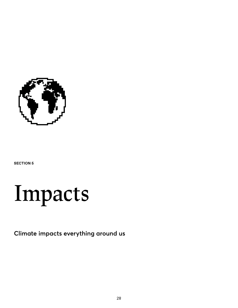<span id="page-27-0"></span>

**SECTION 5**



**Climate impacts everything around us**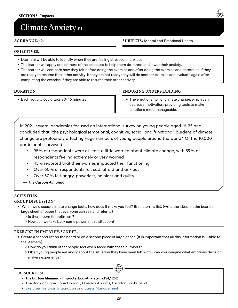## <span id="page-28-0"></span>**Climate Anxiety ,P1**

#### **AGE RANGE:** 12+

#### **SUBJECTS:** Mental and Emotional Health

#### **OBJECTIVES**:

- Learners will be able to identify when they are feeling stressed or anxious
- The learner will apply one or more of the exercises to help them de-stress and lower their anxiety.
- The learner will compare how they felt before doing the exercise and after doing the exercise and determine if they are ready to resume their other activity. If they are not ready they will do another exercise and evaluate again after completing the exercise if they are able to resume their other activity.

#### **DURATION**

• Each activity could take 30-45 minutes

#### **ENDURING UNDERSTANDING**

• The emotional toll of climate change, which can decrease motivation, providing tools to make emotions more manageable.

In 2021, several academics focused an international survey on young people aged 16-25 and concluded that "the psychological (emotional, cognitive, social, and functional) burdens of climate change are profoundly affecting huge numbers of young people around the world." Of the 10,000 participants surveyed:

- 95% of respondents were at least a little worried about climate change, with 59% of respondents feeling extremely or very worried
- 45% reported that their worries impacted their functioning
- Over 60% of respondents felt sad, afraid and anxious
- Over 50% felt angry, powerless, helpless and guilty
- *The Carbon Almanac*

#### **ACTIVITIES:**

#### **GROUP DISCUSSION:**

- When we discuss climate change facts, how does it make you feel? Brainstorm a list. (write the ideas on the board or large sheet of paper that everyone can see and refer to)
	- ʦ Is there room for optimism?
	- ʦ How can we take back some power in this situation?

#### **EXERCISE IN EMPATHY/SONDER:**

• Create a second list on the board or on a second piece of large paper. (It is important that all this information is visible to the learners)

 $\bigoplus$ 

- ʦ How do you think other people feel when faced with these numbers?
- ʦ Often young people are angry about the situation they have been left with can you imagine what emotions decisionmakers experience?

#### **RESOURCES:**

- *The Carbon Almanac* **Impacts: Eco-Anxiety, p.154/ [252](https://thecarbonalmanac.org/252/)**
- The Book of Hope, Jane Goodall, Douglas Abrams, Celadon Books, 2021
- [Exercises for Brain Integration and Stress Management](https://gemskinesiologycollege.com/2022/01/25/brain-integration-and-stress-anxiety-management-in-the-classroom/)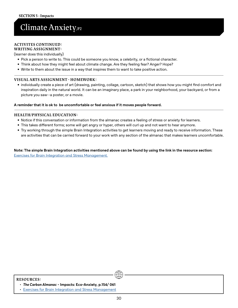## **Climate Anxiety,P2**

#### **ACTIVITES CONTINUED:**

**WRITING ASSIGNMENT:** 

(learner does this individually)

- Pick a person to write to. This could be someone you know, a celebrity, or a fictional character.
- Think about how they might feel about climate change. Are they feeling fear? Anger? Hope?
- Write to them about the issue in a way that inspires them to want to take positive action.

#### **VISUAL ARTS ASSIGNMENT - HOMEWORK:**

• individually create a piece of art (drawing, painting, collage, cartoon, sketch) that shows how you might find comfort and inspiration daily in the natural world. It can be an imaginary place, a park in your neighborhood, your backyard, or from a picture you saw--a poster, or a movie.

#### **A reminder that it is ok to be uncomfortable or feel anxious if it moves people forward.**

#### **HEALTH/PHYSICAL EDUCATION:**

- Notice if this conversation or information from the almanac creates a feeling of stress or anxiety for learners.
- This takes different forms; some will get angry or hyper, others will curl up and not want to hear anymore.
- Try working through the simple Brain Integration activities to get learners moving and ready to receive information. These are activities that can be carried forward to your work with any section of the almanac that makes learners uncomfortable.

**Note: The simple Brain Integration activities mentioned above can be found by using the link in the resource section:**  [Exercises for Brain Integration and Stress Management](https://www.google.com/url?q=https://gemskinesiologycollege.com/2022/01/25/brain-integration-and-stress-anxiety-management-in-the-classroom/&sa=D&source=docs&ust=1645320151382872&usg=AOvVaw2NeJQ5JfL-9Lr0tBocLjv5).

#### **RESOURCES:**

• [Exercises for Brain Integration and Stress Management](https://www.google.com/url?q=https://gemskinesiologycollege.com/2022/01/25/brain-integration-and-stress-anxiety-management-in-the-classroom/&sa=D&source=docs&ust=1645320151382872&usg=AOvVaw2NeJQ5JfL-9Lr0tBocLjv5)

<sup>•</sup> *The Carbon Almanac* **- Impacts: Eco-Anxiety, p.154/ 061**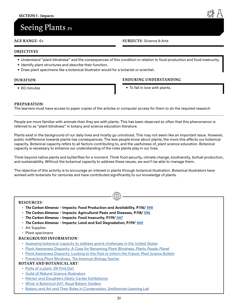## <span id="page-30-0"></span>**Seeing Plants ,P1**

#### **AGE RANGE:** 6+

#### **SUBJECTS:** Science & Arts

#### **OBJECTIVES**

- Understand "plant blindness" and the consequences of this condition in relation to food production and food insecurity.
- Identify plant structures and describe their function.
- Draw plant specimens like a botanical illustrator would for a botanist or scientist.

#### **DURATION**

• 60 minutes

#### **ENDURING UNDERSTANDING**

• To fall in love with plants.

#### **PREPARATION**:

The learners must have access to paper copies of the articles or computer access for them to do the required research

People are more familiar with animals than they are with plants. This has been observed so often that this phenomenon is referred to as "plant blindness" in botany and science education literature.

Plants exist in the background of our daily lives and mostly go unnoticed. This may not seem like an important issue. However, public indifference towards plants has consequences. The less people know about plants, the more this affects our botanical capacity. Botanical capacity refers to all factors contributing to, and the usefulness of, plant science education. Botanical capacity is necessary to enhance our understanding of the roles plants play in our lives.

Think beyond native plants and butterflies for a moment. Think food security, climate change, biodiversity, biofuel production, and sustainability. Without the botanical capacity to address these issues, we won't be able to manage them.

The objective of this activity is to encourage an interest in plants through botanical illustration. Botanical illustrators have worked with botanists for centuries and have contributed significantly to our knowledge of plants.

 $\bigoplus$ 

#### **RESOURCES:**

- *The Carbon Almanac* **Impacts: Food Production and Availability, P.116[/ 598](https://thecarbonalmanac.org/598/)**
- *The Carbon Almanac* **Impacts: Agricultural Pests and Diseases, P.118[/ 596](https://thecarbonalmanac.org/596/)**
- *The Carbon Almanac* **Impacts: Food Insecurity, P.119/ [067](https://thecarbonalmanac.org/067/)**
- *The Carbon Almanac* **Impacts: Land and Soil Degradation, P.119/ [069](https://thecarbonalmanac.org/069/)**
- Art Supplies
- Plant specimens

#### **BACKGROUND INFORMATION:**

- [Assessing botanical capacity to address grand challenges in the United States](https://www.bgci.org/wp/wp-content/uploads/2019/06/US-Botanical-Capacity-Report.pdf)
- [Plant Awareness Disparity: A Case for Renaming Plant Blindness,](https://nph.onlinelibrary.wiley.com/doi/10.1002/ppp3.10153) *Plants, People, Planet*
- [Plant Awareness Disparity: Looking to the Past to Inform the Future.](https://issuu.com/botanicalsocietyofamerica/docs/psb67_2_2021) *Plant Science Bulletin*
- Preventing Plant Blindness. *[The American Biology Teacher](https://online.ucpress.edu/abt/article-abstract/61/2/82/15933/Preventing-Plant-Blindness?redirectedFrom=fulltext)*

#### **BOTANY AND BOTANICAL ART:**

- [Parts of a plant.](https://www.dkfindout.com/us/animals-and-nature/plants/) *DK Find Out!*
- [Guild of Natural Science Illustrators](https://www.gnsi.org/)
- [Merian and Daughters \(Getty Center Exhibitions\)](https://www.getty.edu/art/exhibitions/merian/index.html)
- [What Is Botanical Art?,](https://www.kew.org/read-and-watch/what-is-botanic-art) *Royal Botanic Gardens*
- [Botany and Art and Their Roles in Conservation,](https://learninglab.si.edu/collections/botany-and-art-and-their-roles-in-conservation/cAoin2jFwq9Ux7oJ) *Smithsonian Learning Lab*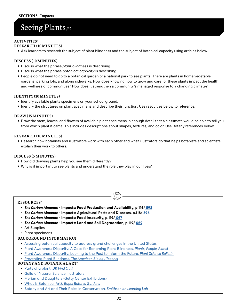## **Seeing Plants ,P2**

#### **ACTIVITIES:**

#### **RESEARCH (10 MINUTES)**

• Ask learners to research the subject of plant blindness and the subject of botanical capacity using articles below.

#### **DISCUSS (10 MINUTES)**

- Discuss what the phrase *plant blindness* is describing.
- Discuss what the phrase *botanical capacity* is describing.
- People do not need to go to a botanical garden or a national park to see plants. There are plants in home vegetable gardens, parking lots, and along sidewalks. How does knowing how to grow and care for these plants impact the health and wellness of communities? How does it strengthen a community's managed response to a changing climate?

#### **IDENTIFY (10 MINUTES)**

- Identify available plants specimens on your school ground.
- Identify the structures on plant specimens and describe their function. Use resources below to reference.

#### **DRAW (15 MINUTES)**

• Draw the stem, leaves, and flowers of available plant specimens in enough detail that a classmate would be able to tell you from which plant it came. This includes descriptions about shapes, textures, and color. Use Botany references below.

#### **RESEARCH (10 MINUTES)**

• Research how botanists and illustrators work with each other and what illustrators do that helps botanists and scientists explain their work to others.

 $\bigoplus$ 

#### **DISCUSS (5 MINUTES)**

- How did drawing plants help you see them differently?
- Why is it important to see plants and understand the role they play in our lives?

#### **RESOURCES:**

- *The Carbon Almanac* **Impacts: Food Production and Availability, p.116[/ 598](https://thecarbonalmanac.org/598/)**
- *The Carbon Almanac* **Impacts: Agricultural Pests and Diseases, p.118/ [596](https://thecarbonalmanac.org/596/)**
- *The Carbon Almanac* **Impacts: Food Insecurity, p.119/ [067](https://thecarbonalmanac.org/067/)**
- *The Carbon Almanac* **Impacts: Land and Soil Degradation, p.119/ [069](https://thecarbonalmanac.org/069/)**
- Art Supplies
- Plant specimens

#### **BACKGROUND INFORMATION:**

- [Assessing botanical capacity to address grand challenges in the United States](https://www.bgci.org/wp/wp-content/uploads/2019/06/US-Botanical-Capacity-Report.pdf)
- [Plant Awareness Disparity: A Case for Renaming Plant Blindness,](https://nph.onlinelibrary.wiley.com/doi/10.1002/ppp3.10153) *Plants, People, Planet*
- [Plant Awareness Disparity: Looking to the Past to Inform the Future.](https://issuu.com/botanicalsocietyofamerica/docs/psb67_2_2021) *Plant Science Bulletin*
- Preventing Plant Blindness. *[The American Biology Teacher](https://online.ucpress.edu/abt/article-abstract/61/2/82/15933/Preventing-Plant-Blindness?redirectedFrom=fulltext)*

#### **BOTANY AND BOTANICAL ART:**

- [Parts of a plant.](https://www.dkfindout.com/us/animals-and-nature/plants/) *DK Find Out!*
- [Guild of Natural Science Illustrators](https://www.gnsi.org/)
- [Merian and Daughters \(Getty Center Exhibitions\)](https://www.getty.edu/art/exhibitions/merian/index.html)
- [What Is Botanical Art?](https://www.kew.org/read-and-watch/what-is-botanic-art), *Royal Botanic Gardens*
- [Botany and Art and Their Roles in Conservation](https://learninglab.si.edu/collections/botany-and-art-and-their-roles-in-conservation/cAoin2jFwq9Ux7oJ), *Smithsonian Learning Lab*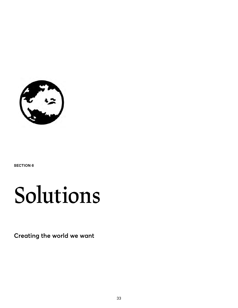<span id="page-32-0"></span>

**SECTION 6**

## **Solutions**

**Creating the world we want**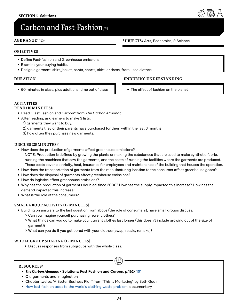## <span id="page-33-0"></span> $\bf{Carbon}$  and Fast-Fashion,<sub>P1</sub>

#### **AGE RANGE:** 12+

#### **OBJECTIVES**

- Define Fast-fashion and Greenhouse emissions.
- Examine your buying habits.
- Design a garment: shirt, jacket, pants, shorts, skirt, or dress, from used clothes.

#### **DURATION**

• 60 minutes in class, plus additional time out of class

#### **ENDURING UNDERSTANDING**

• The effect of fashion on the planet

#### **ACTIVITIES:**

#### **READ (10 MINUTES):**

- Read "Fast Fashion and Carbon" from *The Carbon Almanac*.
- After reading, ask learners to make 3 lists:
	- 1) garments they want to buy.
	- 2) garments they or their parents have purchased for them within the last 6 months.
	- 3) how often they purchase new garments.

#### **DISCUSS (20 MINUTES):**

- How does the production of garments affect greenhouse emissions? NOTE: Production is defined by growing the plants or making the substances that are used to make synthetic fabric, running the machines that sew the garments, and the costs of running the facilities where the garments are produced. These costs cover electricity, heat, insurance for employees and maintenance of the building that houses the operation.
- How does the transportation of garments from the manufacturing location to the consumer affect greenhouse gases?
- How does the disposal of garments affect greenhouse emissions?
- How do logistics affect greenhouse emissions?
- Why has the production of garments doubled since 2000? How has the supply impacted this increase? How has the demand impacted this increase?
- What is the role of the consumers?

#### **SMALL GROUP ACTIVITY (15 MINUTES):**

- Building on answers to the last question from above (the role of consumers), have small groups discuss: ʦ Can you imagine yourself purchasing fewer clothes?
	- ʦ What things can you do to make your current clothes last longer (this doesn't include growing out of the size of garment)?

 $\bigoplus$ 

ʦ What can you do if you get bored with your clothes (swap, resale, remake)?

#### **WHOLE GROUP SHARING (15 MINUTES):**

• Discuss responses from subgroups with the whole class.

#### **RESOURCES:**

- *The Carbon Almanac* **Solutions: Fast Fashion and Carbon, p.162[/ 101](https://thecarbonalmanac.org/101/)**
- Old garments and imagination
- Chapter twelve: "A Better Business Plan" from "This Is Marketing" by Seth Godin
- [How fast fashion adds to the world's clothing waste problem](https://www.youtube.com/watch?v=elU32XNj8PM), documentary

#### **SUBJECTS:** Arts, Economics, & Science

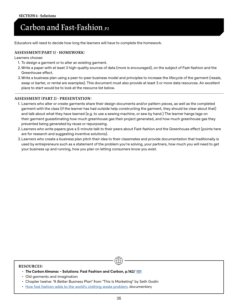## **Carbon and Fast-Fashion,P2**

Educators will need to decide how long the learners will have to complete the homework.

#### **ASSESSMENT(PART 1) - HOMEWORK:**

Learners choose:

- 1. To design a garment or to alter an existing garment.
- 2.Write a paper with at least 3 high-quality sources of data (more is encouraged), on the subject of Fast-fashion and the Greenhouse effect.
- 3.Write a business plan using a peer-to-peer business model and principles to increase the lifecycle of the garment (resale, swap or barter, or rental are examples). This document must also provide at least 3 or more data resources. An excellent place to start would be to look at the resource list below.

#### **ASSESSMENT (PART 2) - PRESENTATION:**

- 1. Learners who alter or create garments share their design documents and/or pattern pieces, as well as the completed garment with the class (if the learner has had outside help constructing the garment, they should be clear about that) and talk about what they have learned (e.g. to use a sewing machine, or sew by hand.) The learner hangs tags on their garment guesstimating how much greenhouse gas their project generated, and how much greenhouse gas they prevented being generated by reuse or repurposing.
- 2.Learners who write papers give a 5-minute talk to their peers about Fast-fashion and the Greenhouse effect (points here are for research and suggesting inventive solutions).
- 3.Learners who create a business plan pitch their idea to their classmates and provide documentation that traditionally is used by entrepreneurs such as a statement of the problem you're solving, your partners, how much you will need to get your business up and running, how you plan on letting consumers know you exist.

#### **RESOURCES:**

- *The Carbon Almanac* **Solutions: Fast Fashion and Carbon, p.162[/ 101](https://thecarbonalmanac.org/101/)**
- Old garments and imagination
- Chapter twelve: "A Better Business Plan" from "This Is Marketing" by Seth Godin
- [How fast fashion adds to the world's clothing waste problem](https://www.youtube.com/watch?v=elU32XNj8PM), documentary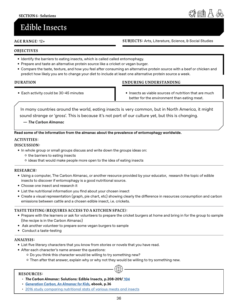## <span id="page-35-0"></span>**Edible Insects**

**AGE RANGE:** 12+ **SUBJECTS:** Arts, Literature, Science, & Social Studies

#### **OBJECTIVES**

- Identify the barriers to eating insects, which is called called entomophagy.
- Prepare and taste an alternative protein source like a cricket or vegan burger.
- Compare the taste, texture, and how you feel after consuming an alternative protein source with a beef or chicken and predict how likely you are to change your diet to include at least one alternative protein source a week.

#### **DURATION**

• Each activity could be 30-45 minutes

#### **ENDURING UNDERSTANDING**

• Insects as viable sources of nutrition that are much better for the environment than eating meat.

In many countries around the world, eating insects is very common, but in North America, it might sound strange or 'gross'. This is because it's not part of our culture yet, but this is changing.

**—** *The Carbon Almanac*

**Read some of the information from the almanac about the prevalence of entomophagy worldwide.** 

#### **ACTIVITIES:**

#### **DISCUSSION:**

- In whole group or small groups discuss and write down the groups ideas on:
	- ʦ the barriers to eating insects
	- ʦ ideas that would make people more open to the idea of eating insects

#### **RESEARCH:**

- Using a computer, The Carbon Almanac, or another resource provided by your educator, research the topic of edible insects to discover if entomophagy is a good nutritional source.
- Choose one insect and research it
- List the nutritional information you find about your chosen insect
- Create a visual representation (graph, pie chart, etc) showing clearly the difference in resources consumption and carbon emissions between cattle and a chosen edible insect, i.e. crickets.

#### **TASTE TESTING (REQUIRES ACCESS TO A KITCHEN SPACE):**

- Prepare with the learners or ask for volunteers to prepare the cricket burgers at home and bring in for the group to sample (the recipe is in the Carbon Almanac)
- Ask another volunteer to prepare some vegan burgers to sample
- Conduct a taste-testing

#### **ANALYSIS:**

- List five literary characters that you know from stories or novels that you have read.
- After each character's name answer the questions:
	- ʦ Do you think this character would be willing to try something new?
	- ʦ Then after that answer, explain why or why not they would be willing to try something new.

#### **RESOURCES:**

- *The Carbon Almanac***: Solutions: Edible Insects, p.208-209/ [104](https://thecarbonalmanac.org/104/)**
- *• [Generation Carbon, An Almanac for Kids](https://thecarbonalmanac.org/wp-content/uploads/2022/04/GenC_Book.pdf)***[, ebook, p.3](http://)6**
- [2016 study comparing nutritional stats of various meats and insects](https://www.ncbi.nlm.nih.gov/pmc/articles/PMC4781901/)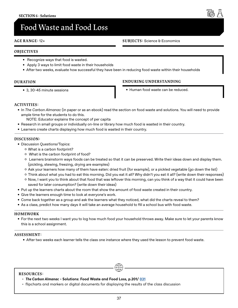## <span id="page-36-0"></span>**Food Waste and Food Loss**

#### **AGE RANGE:** 12+

#### **SUBJECTS:** Science & Economics

#### **OBJECTIVES**

- Recognize ways that food is wasted.
- Apply 3 ways to limit food waste in their households
- After two weeks, evaluate how successful they have been in reducing food waste within their households

#### **DURATION**

• 3, 30-45 minute sessions

#### **ENDURING UNDERSTANDING**

• Human food waste can be reduced.

#### **ACTIVITIES:**

- In *The Carbon Almanac* (in paper or as an ebook) read the section on food waste and solutions. You will need to provide ample time for the students to do this.
	- NOTE: Educator explains the concept of per capita
- Research in small groups or individually on-line or library how much food is wasted in their country.
- Learners create charts displaying how much food is wasted in their country.

#### **DISCUSSION:**

- Discussion Questions/Topics:
	- ʦ What is a carbon footprint?
	- ʦ What is the carbon footprint of food?
	- ʦ Learners brainstorm ways foods can be treated so that it can be preserved. Write their ideas down and display them. (pickling, stewing, freezing, drying are examples)
	- ʦ Ask your learners how many of them have eaten: dried fruit (for example), or a pickled vegetable (go down the list)
	- ʦ Think about what you had to eat this morning. Did you eat it all? Why didn't you eat it all? (write down their responses)
	- ʦ Now, I want you to think about that food that was leftover this morning, can you think of a way that it could have been saved for later consumption? (write down their ideas)
- Put up the learners charts about the room that show the amount of food waste created in their country.
- Give the learners enough time to look at everyone's work.
- Come back together as a group and ask the learners what they noticed, what did the charts reveal to them?
- As a class, predict how many days it will take an average household to fill a school bus with food waste.

#### **HOMEWORK**

• For the next two weeks I want you to log how much food your household throws away. Make sure to let your parents know this is a school assignment.

#### **ASSESSMENT:**

• After two weeks each learner tells the class one instance where they used the lesson to prevent food waste.

#### **RESOURCES:**

- *The Carbon Almanac* **Solutions: Food Waste and Food Loss, p.201/ [031](https://thecarbonalmanac.org/031/)**
- flipcharts and markers or digital documents for displaying the results of the class discussion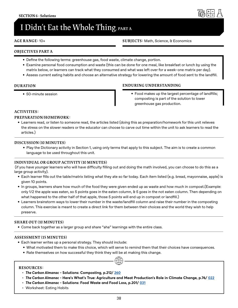## <span id="page-37-0"></span>**I Didn't Eat the Whole Thing, part a**

#### **AGE RANGE:** 10+

#### **SUBJECTS:** Math, Science, & Economics

#### **OBJECTIVES PART A**

- Define the following terms: greenhouse gas, food waste, climate change, portion.
- Examine personal food consumption and waste (this can be done for one meal, like breakfast or lunch by using the matrix below, or learners can track what they consumed and what was left over for a week–one matrix per day).
- Assess current eating habits and choose an alternative strategy for lowering the amount of food sent to the landfill.

#### **DURATION**

• 50-minute session

#### **ENDURING UNDERSTANDING**

• Food makes up the largest percentage of landfills; composting is part of the solution to lower greenhouse gas production.

#### **ACTIVITIES:**

#### **PREPARATION/HOMEWORK:**

• Learners read, or listen to someone read, the articles listed (doing this as preparation/homework for this unit relieves the stress on the slower readers or the educator can choose to carve out time within the unit to ask learners to read the articles.)

#### **DISCUSSION (10 MINUTES)**

• Play the Dictionary activity in Section 1, using only terms that apply to this subject. The aim is to create a common language to be used throughout this unit.

#### **INDIVIDUAL OR GROUP ACTIVITY (10 MINUTES)**

(if you have younger learners who will have difficulty filling out and doing the math involved, you can choose to do this as a large group activity).

- Each learner fills out the table/matrix listing what they ate so far today. Each item listed (e.g. bread, mayonnaise, apple) is given 10 points.
- In groups, learners share how much of the food they were given ended up as waste and how much in compost.(Example: only 1/2 the apple was eaten, so 5 points goes in the eaten column, & 5 goes in the not eaten column. Then depending on what happened to the other half of that apple, those 5 points will end up in compost or landfill.)
- Learners brainstorm ways to lower their number in the waste/landfill column and raise their number in the composting column. This exercise is meant to create a direct link for them between their choices and the world they wish to help preserve.

#### **SHARE OUT (10 MINUTES)**

• Come back together as a larger group and share "aha" learnings with the entire class.

#### **ASSESSMENT (15 MINUTES)**

- Each learner writes up a personal strategy. They should include:
	- What motivated them to make this choice, which will serve to remind them that their choices have consequences.
	- Rate themselves on how successful they think they will be at making this change.  $\bigoplus$

#### **RESOURCES:**

- *The Carbon Almanac* **Solutions: Composting, p.212/ [260](https://thecarbonalmanac.org/260/)**
- *The Carbon Almanac* **Here's What's True: Agriculture and Meat Production's Role in Climate Change, p.76/ [022](https://thecarbonalmanac.org/022/)**
- *The Carbon Almanac* **Solutions: Food Waste and Food Loss, p.201/ [031](https://thecarbonalmanac.org/031/)**
- Worksheet: Eating Habits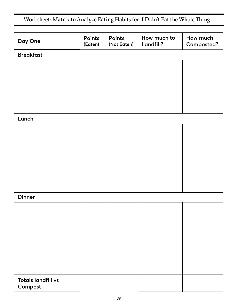<span id="page-38-0"></span>**Worksheet: Matrix to Analyze Eating Habits for: I Didn't Eat the Whole Thing**

| Day One                              | Points<br>(Eaten) | Points<br>(Not Eaten) | How much to<br>Landfill? | How much<br>Composted? |
|--------------------------------------|-------------------|-----------------------|--------------------------|------------------------|
| <b>Breakfast</b>                     |                   |                       |                          |                        |
|                                      |                   |                       |                          |                        |
|                                      |                   |                       |                          |                        |
|                                      |                   |                       |                          |                        |
|                                      |                   |                       |                          |                        |
|                                      |                   |                       |                          |                        |
| Lunch                                |                   |                       |                          |                        |
|                                      |                   |                       |                          |                        |
|                                      |                   |                       |                          |                        |
|                                      |                   |                       |                          |                        |
|                                      |                   |                       |                          |                        |
|                                      |                   |                       |                          |                        |
|                                      |                   |                       |                          |                        |
| <b>Dinner</b>                        |                   |                       |                          |                        |
|                                      |                   |                       |                          |                        |
|                                      |                   |                       |                          |                        |
|                                      |                   |                       |                          |                        |
|                                      |                   |                       |                          |                        |
|                                      |                   |                       |                          |                        |
|                                      |                   |                       |                          |                        |
|                                      |                   |                       |                          |                        |
| <b>Totals landfill vs</b><br>Compost |                   |                       |                          |                        |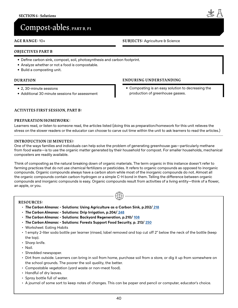## <span id="page-39-0"></span>**Compost-ables , PART B, P1**

#### **AGE RANGE:** 10+

#### **OBJECTIVES PART B**

- Define carbon sink, compost, soil, photosynthesis and carbon footprint.
- Analyze whether or not a food is compostable.
- Build a composting unit.

#### **DURATION**

- 2, 30-minute sessions
- Additional 30 minute sessions for assessment

#### **ENDURING UNDERSTANDING**

• Composting is an easy solution to decreasing the production of greenhouse gasses.

#### **ACTIVITES FIRST SESSION, PART B:**

#### **PREPARATION/HOMEWORK:**

Learners read, or listen to someone read, the articles listed (doing this as preparation/homework for this unit relieves the stress on the slower readers or the educator can choose to carve out time within the unit to ask learners to read the articles.)

#### **INTRODUCTION (10 MINUTES):**

One of the ways families and individuals can help solve the problem of generating greenhouse gas—particularly methane from food waste—is to use the organic matter generated by their household for compost. For smaller households, mechanical composters are readily available.

Think of composting as the natural breaking down of organic materials. The term organic in this instance doesn't refer to farming practices that do not use chemical fertilizers or pesticides. It refers to organic compounds as opposed to inorganic compounds. Organic compounds always have a carbon atom while most of the inorganic compounds do not. Almost all the organic compounds contain carbon-hydrogen or a simple C-H bond in them. Telling the difference between organic compounds and inorganic compounds is easy. Organic compounds result from activities of a living entity—think of a flower, an apple, or you.

 $\bigoplus$ 

#### **RESOURCES:**

- *The Carbon Almanac* **Solutions: Using Agriculture as a Carbon Sink, p.202/ [218](https://thecarbonalmanac.org/218/)**
- *The Carbon Almanac* **Solutions: Drip Irrigation, p.204/ [248](https://thecarbonalmanac.org/248/)**
- *The Carbon Almanac* **Solutions: Backyard Regeneration, p.210/ [108](https://thecarbonalmanac.org/108/)**
- *The Carbon Almanac* **Solutions: Forests Support Food Security, p. 213/ [250](https://thecarbonalmanac.org/250/)**
- Worksheet: Eating Habits
- 1 empty 2-liter soda bottle per learner (rinsed, label removed and top cut off 2" below the neck of the bottle (keep the top).
- Sharp knife.
- Nail.
- Shredded newspaper.
- Dirt from outside. Learners can bring in soil from home, purchase soil from a store, or dig it up from somewhere on the school grounds. The poorer the soil quality, the better.
- Compostable vegetation (yard waste or non-meat food).
- Handful of dry leaves.
- Spray bottle full of water.
- A journal of some sort to keep notes of changes. This can be paper and pencil or computer, educator's choice.

**SUBJECTS:** Agriculture & Science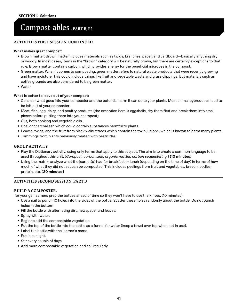## **Compost-ables, PART B, P2**

#### **ACTIVITIES FIRST SESSION, CONTINUED.**

#### **What makes great compost:**

- Brown matter: Brown matter includes materials such as twigs, branches, paper, and cardboard—basically anything dry or woody. In most cases, items in the "brown" category will be naturally brown, but there are certainly exceptions to that rule. Brown matter contains carbon, which provides energy for the beneficial microbes in the compost.
- Green matter: When it comes to composting, green matter refers to natural waste products that were recently growing and have moisture. This could include things like fruit and vegetable waste and grass clippings, but materials such as coffee grounds are also considered to be green matter.
- Water

#### **What is better to leave out of your compost:**

- Consider what goes into your composter and the potential harm it can do to your plants. Most animal byproducts need to be left out of your composter:
- Meat, fish, egg, dairy, and poultry products (the exception here is eggshells, dry them first and break them into small pieces before putting them into your compost).
- Oils, both cooking and vegetable oils.
- Coal or charcoal ash which could contain substances harmful to plants.
- Leaves, twigs, and the fruit from black walnut trees which contain the toxin juglone, which is known to harm many plants.
- Trimmings from plants previously treated with pesticides.

#### **GROUP ACTIVITY**

- Play the Dictionary activity, using only terms that apply to this subject. The aim is to create a common language to be used throughout this unit. (*Compost, carbon sink, organic matter, carbon sequestering.*) **(10 minutes)**
- Using the matrix, analyze what the learner(s) had for breakfast or lunch (depending on the time of day) in terms of how much of what they did not eat can be composted. This includes peelings from fruit and vegetables, bread, noodles, protein, etc. **(20 minutes)**

#### **ACTIVITIES SECOND SESSION, PART B**

#### **BUILD A COMPOSTER:**

for younger learners prep the bottles ahead of time so they won't have to use the knives. (10 minutes)

- Use a nail to punch 10 holes into the sides of the bottle. Scatter these holes randomly about the bottle. Do not punch holes in the bottom
- Fill the bottle with alternating dirt, newspaper and leaves.
- Spray with water.
- Begin to add the compostable vegetation.
- Put the top of the bottle into the bottle as a funnel for water (keep a towel over top when not in use).
- Label the bottle with the learner's name.
- Put in sunlight.
- Stir every couple of days.
- Add more compostable vegetation and soil regularly.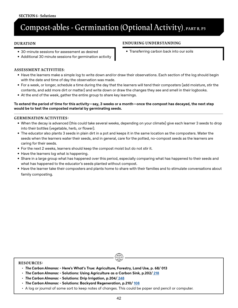## **Compost-ables - Germination (Optional Activity) , PART B, P3**

#### **DURATION**

- 30-minute sessions for assessment as desired
- Additional 30 minute sessions for germination activity

#### **ENDURING UNDERSTANDING**

• Transferring carbon back into our soils

#### **ASSESSMENT ACTIVITIES**:

- Have the learners make a simple log to write down and/or draw their observations. Each section of the log should begin with the date and time of day the observation was made.
- For a week, or longer, schedule a time during the day that the learners will tend their composters (add moisture, stir the contents, and add more dirt or matter) and write down or draw the changes they see and smell in their logbooks.
- At the end of the week, gather the entire group to share key learnings.

#### **To extend the period of time for this activity—say, 3 weeks or a month—once the compost has decayed, the next step would be to test the composted material by germinating seeds.**

#### **GERMINATION ACTIVITIES:**

- When the decay is advanced (this could take several weeks, depending on your climate) give each learner 3 seeds to drop into their bottles (vegetable, herb, or flower).
- The educator also plants 3 seeds in plain dirt in a pot and keeps it in the same location as the composters. Water the seeds when the learners water their seeds, and in general, care for the potted, no-compost seeds as the learners are caring for their seeds.
- For the next 2 weeks, learners should keep the compost moist but do not stir it.
- Have the learners log what is happening.
- Share in a large group what has happened over this period, especially comparing what has happened to their seeds and what has happened to the educator's seeds planted without compost.
- Have the learner take their composters and plants home to share with their families and to stimulate conversations about family composting.

#### **RESOURCES:**

- *The Carbon Almanac* **Here's What's True: Agriculture, Forestry, Land Use, p. 68/ 013**
- *The Carbon Almanac* **Solutions: Using Agriculture as a Carbon Sink, p.202/ [218](https://thecarbonalmanac.org/218/)**
- *The Carbon Almanac* **Solutions: Drip Irrigation, p.204/ [248](https://thecarbonalmanac.org/248/)**
- *The Carbon Almanac* **Solutions: Backyard Regeneration, p.210/ [108](https://thecarbonalmanac.org/108/)**
- A log or journal of some sort to keep notes of changes. This could be paper and pencil or computer.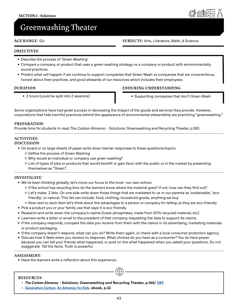

## <span id="page-42-0"></span>**Greenwashing Theater**

#### **AGE RANGE:** 12+

#### **SUBJECTS:** Arts, Literature, Math, & Science

#### **OBJECTIVES**:

- Describe the process of 'Green Washing'
- Compare a company or product that uses a green washing strategy vs a company or product with environmentally sound practices.
- Predict what will happen if we continue to support companies that Green Wash vs companies that are conscientious, honest about their practices, and good stewards of our resources which includes their employees.

#### **DURATION**

• 2 hours (could be split into 2 sessions)

#### **ENDURING UNDERSTANDING**

• Supporting companies that don't Green Wash

Some organizations have had great success in decreasing the impact of the goods and services they provide. However, corporations that hide harmful practices behind the appearance of environmental stewardship are practicing "greenwashing."

#### **PREPARATION:**

Provide time for students to read *The Carbon Almanac* - Solutions: Greenwashing and Recycling Theater, p.160

#### **ACTIVITIES: DISCUSSION:**

- On board or on large sheets of paper write down learner responses to these questions/topics:
	- ʦ Define the process of Green Washing
	- ʦ Why would an individual or company use green washing?
	- ʦ List of types of jobs or products that would benefit or gain favor with the public or in the market by presenting themselves as "Green".

#### **INVESTIGATE:**

- We've been thinking globally, let's move our focus to the local--our own school.
	- ʦ If the school has recycling bins do the learners know where the material goes? If not, how can they find out?
	- ʦ Let's make 2 lists. On one side write down those things that are marketed to us or our parents as 'sustainable', 'ecofriendly', or natural. This list can include: food, clothing, household goods, anything we buy.
	- ʦ Now next to each item let's think about the advantages to a person or company for telling us they are eco-friendly
- Pick a product you or your family use that says it is eco-friendly
- Research and write down the company's claims (lower phosphates, made from 50% recycled material, etc)
- Learners write a letter or email to the president of that company requesting the data to support its claims.
- If the company responds, compare the data you receive from them with the claims in its advertising, marketing materials or product packaging.
- If the company doesn't respond, what can you do? Write them again, or check with a local consumer protection agency.
- Discuss how it feels when you receive no response. What choices do you have as a consumer? You do have power because you can tell your friends what happened, or post on line what happened when you asked your questions. Do not exaggerate. Tell the facts. Truth is powerful.

 $\bigoplus$ 

#### **ASSESSMENT**:

• Have the learners write a reflection about this experience.

#### **RESOURCES:**

- *The Carbon Almanac* **Solutions: Greenwashing and Recycling Theater, p.160/ [089](https://thecarbonalmanac.org/089/)**
- *• [Generation Carbon, An Almanac for Kids](https://thecarbonalmanac.org/wp-content/uploads/2022/04/GenC_Book.pdf)***[, ebook, p.3](http://)2**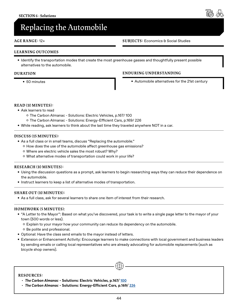## <span id="page-43-0"></span>**Replacing the Automobile**

#### **AGE RANGE:** 12+

#### **LEARNING OUTCOMES**

• Identify the transportation modes that create the most greenhouse gasses and thoughtfully present possible alternatives to the automobile.

#### **DURATION**

• 50 minutes

#### **ENDURING UNDERSTANDING**

• Automobile alternatives for the 21st century

#### **READ (10 MINUTES):**

- Ask learners to read
	- ʦ The Carbon Almanac Solutions: Electric Vehicles, p.167/ 100
	- ʦ The Carbon Almanac Solutions: Energy-Efficient Cars, p.169/ 226
- While reading, ask learners to think about the last time they traveled anywhere NOT in a car.

#### **DISCUSS (15 MINUTES):**

- As a full class or in small teams, discuss "Replacing the automobile."
	- ʦ How does the use of the automobile affect greenhouse gas emissions?
	- ʦ Where are electric vehicle sales the most robust? Why?
	- ʦ What alternative modes of transportation could work in your life?

#### **RESEARCH (10 MINUTES):**

- Using the discussion questions as a prompt, ask learners to begin researching ways they can reduce their dependence on the automobile.
- Instruct learners to keep a list of alternative modes of transportation.

#### **SHARE OUT (10 MINUTES):**

• As a full class, ask for several learners to share one item of interest from their research.

#### **HOMEWORK (5 MINUTES)**:

- "A Letter to the Mayor": Based on what you've discovered, your task is to write a single page letter to the mayor of your town (500 words or less).
	- ʦ Explain to your mayor how your community can reduce its dependency on the automobile.
	- ʦ Be polite and professional.
- Optional: Have the class send emails to the mayor instead of letters.
- Extension or Enhancement Activity: Encourage learners to make connections with local government and business leaders by sending emails or calling local representatives who are already advocating for automobile replacements (such as bicycle shop owners).

 $\bigoplus$ 

#### **RESOURCES:**

- *The Carbon Almanac* **Solutions: Electric Vehicles, p.167/ [100](https://thecarbonalmanac.org/100/)**
- *The Carbon Almanac* **Solutions: Energy-Efficient Cars, p.169/ [226](https://thecarbonalmanac.org/226/)**

#### **SUBJECTS:** Economics & Social Studies

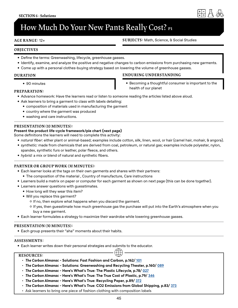

## <span id="page-44-0"></span>**How Much Do Your New Pants Really Cost? P1**

#### **AGE RANGE:** 12+

#### **SUBJECTS:** Math, Science, & Social Studies

#### **OBJECTIVES**

- Define the terms: Greenwashing, lifecycle, greenhouse gasses.
- Identify, examine, and analyze the positive and negative changes to carbon emissions from purchasing new garments.
- Come up with a personal clothes-buying strategy based on lowering the volume of greenhouse gasses.

#### **DURATION**

• 90 minutes

#### **PREPARATION:**

- **ENDURING UNDERSTANDING**
	- Becoming a thoughtful consumer is important to the health of our planet
- Advance homework: Have the learners read or listen to someone reading the articles listed above aloud.
- Ask learners to bring a garment to class with labels detailing:
	- composition of materials used in manufacturing the garment
	- country where the garment was produced
	- washing and care instructions.

#### **PRESENTATION (10 MINUTES):**

#### **Present the product life-cycle framework/pie chart (next page)**

Some definitions the learners will need to complete this activity:

- *• natural fiber*: either plant or animal-based; examples include cotton, silk, linen, wool, or hair (camel hair, mohair, & angora).
- *• synthetic:* made from chemicals that are derived from coal, petroleum, or natural gas; examples include polyester, nylon, spandex, synthetic furs or leather, polar fleece, and others.
- *• hybrid:* a mix or blend of natural and synthetic fibers.

#### **PARTNER OR GROUP WORK (30 MINUTES):**

- Each learner looks at the tags on their own garments and shares with their partners:
	- The composition of the material , Country of manufacture, Care instructions
- Learners build a matrix on paper or computer for each garment as shown on next page (this can be done together).
- Learners answer questions with guesstimates.
	- How long will they wear this item?
	- Will you replace this garment?
		- ʦ If no, then explore what happens when you discard the garment.
		- ʦ If yes, then guesstimate how much greenhouse gas the purchase will put into the Earth's atmosphere when you buy a new garment.
- Each learner formulates a strategy to maximize their wardrobe while lowering greenhouse gasses.

#### **PRESENTATION (30 MINUTES):**

• Each group presents their "aha" moments about their habits.

#### **ASSESSMENTS:**

• Each learner writes down their personal strategies and submits to the educator.<br>
RESOURCES:

#### **RESOURCES:**

- *The Carbon Almanac* **Solutions: Fast Fashion and Carbon, p.162[/ 101](https://thecarbonalmanac.org/101/)**
- *The Carbon Almanac* **Solutions: Greenwashing and Recycling Theater, p.160/ [089](https://thecarbonalmanac.org/089/)**
- *The Carbon Almanac* **Here's What's True: The Plastic Lifecycle, p.78/ [027](https://thecarbonalmanac.org/027/)**
- *The Carbon Almanac* **Here's What's True: The True Cost of Plastic, p.79/ [346](https://thecarbonalmanac.org/346/)**
- *The Carbon Almanac* **Here's What's True: Recycling Paper, p.89/ [372](https://thecarbonalmanac.org/372/)**
- *The Carbon Almanac* **Here's What's True: CO2 Emissions from Global Shipping, p.83/ [373](https://thecarbonalmanac.org/373/)**
- Ask learners to bring one piece of fashion clothing with composition labels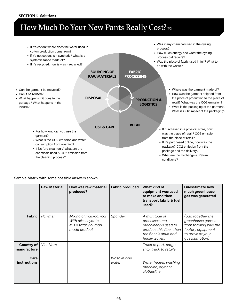#### **SECTION 6 - Solutions**

## **How Much Do Your New Pants Really Cost? P2**



#### Sample Matrix with some possible answers shown

|                             | <b>Raw Material</b> | How was raw material<br>produced?                                                     | <b>Fabric produced</b> | What kind of<br>equipment was used<br>to make and then<br>transport fabric & fuel<br>used?                                     | <b>Guesstimate how</b><br>much greenhouse<br>gas was generated                                                              |
|-----------------------------|---------------------|---------------------------------------------------------------------------------------|------------------------|--------------------------------------------------------------------------------------------------------------------------------|-----------------------------------------------------------------------------------------------------------------------------|
| Fabric                      | Polymer             | Mixing of macroglycol<br>With diisoscyante-<br>it is a totally human-<br>made product | Spandex                | A multitude of<br>processes and<br>machinery is used to<br>produce this fiber, then<br>the fiber is spun and<br>finally woven. | (add together the<br>greenhouse gasses<br>from farming plus the<br>factory equipment<br>to arrive at your<br>guesstimation) |
| Country of<br>manufacture   | Viet Nam            |                                                                                       |                        | Truck to port, cargo<br>ship, truck to retailer                                                                                |                                                                                                                             |
| Care<br><b>instructions</b> |                     |                                                                                       | Wash in cold<br>water  | Water heater, washing<br>machine, dryer or<br>clothesline                                                                      |                                                                                                                             |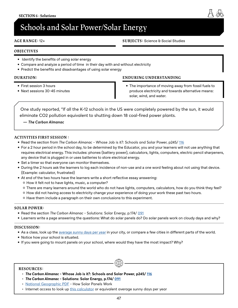## <span id="page-46-0"></span>**Schools and Solar Power/Solar Energy**

#### **AGE RANGE:** 12+

#### **SUBJECTS:** Science & Social Studies

#### **OBJECTIVES**

- Identify the benefits of using solar energy
- Compare and analyze a period of time in their day with and without electricity
- Predict the benefits and disadvantages of using solar energy

#### **DURATION:**

- First session 3 hours
- Next sessions 30-45 minutes

#### **ENDURING UNDERSTANDING**

• The importance of moving away from fossil fuels to produce electricity and towards alternative means: solar, wind, and water.

One study reported, "If all the K-12 schools in the US were completely powered by the sun, it would eliminate CO2 pollution equivalent to shutting down 18 coal-fired power plants.

**—** *The Carbon Almanac*

#### **ACTIVITIES FIRST SESSION :**

- Read the section from *The Carbon Almanac* Whose Job is it?: Schools and Solar Power, p245/ [116](https://thecarbonalmanac.org/116/)
- For a 2 hour period in the school day, to be determined by the Educator, you and your learners will not use anything that requires electrical energy. This includes: phones (battery power), calculators, lights, computers, electric pencil sharpeners, any device that is plugged in or uses batteries to store electrical energy.
- Set a timer so that everyone can monitor themselves.
- During the 2 hours ask the learners to log each incidence of non-use and a one word feeling about not using that device. (Example: calculator, frustrated)
- At end of the two hours have the learners write a short reflective essay answering:
	- ʦ How it felt not to have lights, music, a computer?
	- ʦ There are many learners around the world who do not have lights, computers, calculators, how do you think they feel?
	- ʦ How did not having access to electricity change your experience of doing your work these past two hours.
	- ʦ Have them include a paragraph on their own conclusions to this experiment.

#### **SOLAR POWER:**

- Read the section *The Carbon Almanac* Solutions: Solar Energy, p.174/ [091](https://thecarbonalmanac.org/091/)
- Learners write a page answering the questions: What do solar panels do? Do solar panels work on cloudy days and why?

#### **DISCUSSION:**

- As a class, look up the [average sunny days per year](https://www.currentresults.com/Weather/Washington/annual-days-of-sunshine.php) in your city, or compare a few cities in different parts of the world.
- Notice how your school is situated.
- If you were going to mount panels on your school, where would they have the most impact? Why?

#### **RESOURCES:**

- *The Carbon Almanac* **Whose Job is it?: Schools and Solar Power, p245/ [116](https://thecarbonalmanac.org/116/)**
- *The Carbon Almanac* **Solutions: Solar Energy, p.174/ [091](https://thecarbonalmanac.org/091/)**
- [National Geographic PDF](https://www.nationalgeographic.org/media/solar-cells-how-solar-panels-work/#how-solar-panels-work) How Solar Panels Work
- Internet access to look up [this calculator](https://www.currentresults.com/Weather/Washington/annual-days-of-sunshine.php) or equivalent average sunny days per year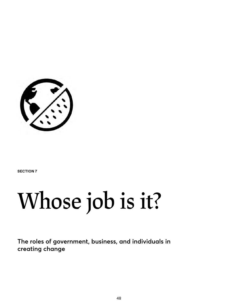<span id="page-47-0"></span>

**SECTION 7**

## **Whose job is it?**

**The roles of government, business, and individuals in creating change**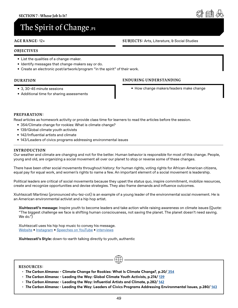## <span id="page-48-0"></span>**The Spirit of Change ,P1**

#### **AGE RANGE:** 12+

#### **OBJECTIVES**

- List the qualities of a change-maker.
- Identify messages that change-makers say or do.
- Create an electronic post/artwork/program "in the spirit" of their work.

#### **DURATION**

- 3, 30-45 minute sessions
- Additional time for sharing assessments

#### **ENDURING UNDERSTANDING**

• How change makers/leaders make change

#### **PREPARATION:**

Read articles as homework activity or provide class time for learners to read the articles before the session.

- 354/Climate change for rookies: What is climate change?
- 139/Global climate youth activists
- 142/Influential artists and climate
- 143/Leaders of civics programs addressing environmental issues

#### **INTRODUCTION**

Our weather and climate are changing and not for the better. Human behavior is responsible for most of this change. People, young and old, are organizing a social movement all over our planet to stop or reverse some of these changes.

There have been other social movements throughout history: for human rights, voting rights for African-American citizens, equal pay for equal work, and women's rights to name a few. An important element of a social movement is leadership.

Political leaders are critical of social movements because they upset the status quo, inspire commitment, mobilize resources, create and recognize opportunities and devise strategies. They also frame demands and influence outcomes.

Xiuhtezcatl Martinez (pronounced shu-tez-cot) is an example of a young leader of the environmental social movement. He is an American environmental activist and a hip hop artist.

**Xiuhtezcatl's message:** Inspire youth to become leaders and take action while raising awareness on climate issues (Quote: "The biggest challenge we face is shifting human consciousness, not saving the planet. The planet doesn't need saving. We do.")

Xiuhtezcatl uses his hip hop music to convey his message. Website • Instagram • [Speeches on YouTube](https://www.youtube.com/watch?v=27gtZ1oV4kw) • [interviews](https://www.youtube.com/watch?v=97a-WhYpFfE)

**Xiuhtezcatl's Style:** down-to-earth talking directly to youth, authentic

#### **RESOURCES:**

- *The Carbon Almanac* **Climate Change for Rookies: What Is Climate Change?, p.20[/ 354](https://thecarbonalmanac.org/354/)**
- *The Carbon Almanac* **Leading the Way: Global Climate Youth Activists, p.274/ [139](https://thecarbonalmanac.org/139/)**
- *The Carbon Almanac* **Leading the Way: Influential Artists and Climate, p.282/ [142](https://thecarbonalmanac.org/142/)**
- *The Carbon Almanac*  **Leading the Way: Leaders of Civics Programs Addressing Environmental Issues, p.280/ [143](https://thecarbonalmanac.org/143/)**

 $\bigoplus$ 



#### **SUBJECTS:** Arts, Literature, & Social Studies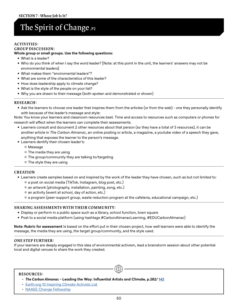## **The Spirit of Change ,P2**

#### **ACTIVITIES:**

#### **GROUP DISCUSSION:**

#### **Whole group or small groups. Use the following questions:**

- What is a leader?
- Who do you think of when I say the word leader? [Note: at this point in the unit, the learners' answers may not be environmental leaders]
- What makes them "enviromental leaders"?
- What are some of the characteristics of this leader?
- How does leadership apply to climate change?
- What is the style of the people on your list?
- Why you are drawn to their message (both spoken and demonstrated or shown)

#### **RESEARCH:**

• Ask the learners to choose one leader that inspires them from the articles (or from the web) - one they personally identify with because of the leader's message and style:

Note: You know your learners and classroom resources best. Time and access to resources such as computers or phones for research will affect when the learners can complete their assessments.

- Learners consult and document 2 other resources about that person (so they have a total of 3 resources), it can be another article in *The Carbon Almanac*, an online posting or article, a magazine, a youtube video of a speech they gave, anything that exposes the learner to the person's message.
- Learners dentify their chosen leader's:
	- ʦ Message
	- ʦ The media they are using
	- ʦ The group/community they are talking to/targeting
	- ʦ The style they are using

#### **CREATION**

- Learners create samples based on and inspired by the work of the leader they have chosen, such as but not limited to: ʦ a post on social media (TikTok, Instagram, blog post, etc.)
	- ʦ an artwork (photography, installation, painting, song, etc.)
	- ʦ an activity (event at school, day of action, etc.)
	- ʦ a program (peer-support group, waste reduction program at the cafeteria, educational campaign, etc.)

#### **SHARING ASSESSMENTS WITH THEIR COMMUNITY:**

- Display or perform in a public space such as a library, school function, town square
- Post to a social media platform (using hashtags #CarbonAlmanacLearning, #EDUCarbonAlmanac)

**Note: Rubric for assessment** Is based on the effort put in their chosen project, how well learners were able to identify the message, the media they are using, the target group/community, and the style used.

#### **ONE STEP FURTHER:**

If your learners are deeply engaged in this idea of environmental activism, lead a brainstorm session about other potential local and digital venues to share the work they created.

#### **RESOURCES:**

- *The Carbon Almanac* **Leading the Way: Influential Artists and Climate, p.282/ [142](https://thecarbonalmanac.org/142/)**
- [Earth.org 10 Inspiring Climate Activists List](https://earth.org/young-climate-activists-leading-the-way-on-global-climate-action/)
- [NAAEE Change Fellowship](https://naaee.org/our-work/programs/ee360/ceechangefellows)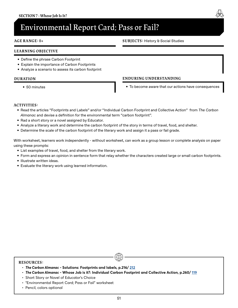## <span id="page-50-0"></span>**Environmental Report Card; Pass or Fail?**

#### **AGE RANGE:** 8+

#### **LEARNING OBJECTIVE**

- Define the phrase Carbon Footprint
- Explain the importance of Carbon Footprints
- Analyze a scenario to assess its carbon footprint

#### **DURATION**

• 50 minutes

#### **ENDURING UNDERSTANDING**

• To become aware that our actions have consequences

#### **ACTIVITIES:**

- Read the articles "Footprints and Labels" and/or "Individual Carbon Footprint and Collective Action" from *The Carbon Almanac* and devise a definition for the environmental term "carbon footprint".
- Rad a short story or a novel assigned by Educator.
- Analyze a literary work and determine the carbon footprint of the story in terms of travel, food, and shelter.
- Determine the scale of the carbon footprint of the literary work and assign it a pass or fail grade.

With worksheet, learners work independently - without worksheet, can work as a group lesson or complete analysis on paper using these prompts:

- List examples of travel, food, and shelter from the literary work.
- Form and express an opinion in sentence form that relay whether the characters created large or small carbon footprints.
- Illustrate written ideas.
- Evaluate the literary work using learned information.

#### **RESOURCES:**

- *The Carbon Almanac* **Solutions: Footprints and labels, p.216/ [212](https://thecarbonalmanac.org/212/)**
- *The Carbon Almanac* **Whose Job is it?: Individual Carbon Footprint and Collective Action, p.260/ [119](https://thecarbonalmanac.org/119/)**
- Short Story or Novel of Educator's Choice
- "Environmental Report Card; Pass or Fail" worksheet
- Pencil, colors optional

 $\bigoplus$ 

#### **SUBJECTS:** History & Social Studies

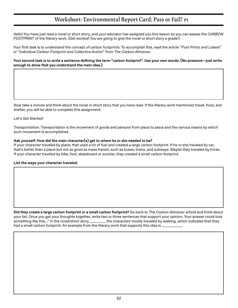### **Worksheet: Environmental Report Card; Pass or Fail? P1**

<span id="page-51-0"></span>Hello! You have just read a novel or short story, and your educator has assigned you this lesson so you can assess the *CARBON FOOTPRINT* of the literary work. (Get excited! You are going to give the novel or short story a grade!)

Your first task is to understand the concept of carbon footprints. To accomplish this, read the article "*Foot Prints and Labels*" or "*Individual Carbon Footprint and Collective Action*" from *The Carbon Almanac*.

#### **Your second task is to write a sentence defining the term "carbon footprint". Use your own words. (No pressure—just write enough to show that you understand the main idea.)**

Now take a minute and think about the novel or short story that you have read. If the literary work mentioned travel, food, and shelter, you will be able to complete this assignment.

#### Let's Get Started!

*Transportation:* Transportation is the movement of goods and persons from place to place and the various means by which such movement is accomplished.

#### **Ask yourself: How did the main character(s) get to where he or she needed to be?**

If your character traveled by plane, that used a lot of fuel and created a large carbon footprint. If he or she traveled by car, that's better than a plane but not as good as mass transit, such as buses, trains, and subways. Maybe they traveled by horse. If your character traveled by bike, foot, skateboard or scooter, they created a small carbon footprint.

#### **List the ways your character traveled.**

**Did they create a large carbon footprint or a small carbon footprint?** Go back to *The Carbon Almanac* article and think about your list. Once you get your thoughts together, write two or three sentences that support your opinion. Your answer could look something like this..." In the novel/short story\_\_\_\_\_\_\_\_\_ the characters mostly traveled by walking, which indicates that they had a small carbon footprint. An example from the literary work that supports this idea is \_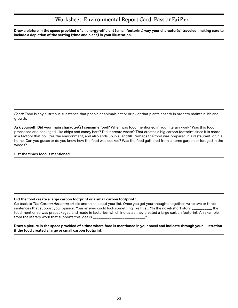### **Worksheet: Environmental Report Card; Pass or Fail? P2**

**Draw a picture in the space provided of an energy-efficient (small footprint) way your character(s) traveled, making sure to include a depiction of the setting (time and place) in your illustration.**

*Food:* Food is any nutritious substance that people or animals eat or drink or that plants absorb in order to maintain life and growth.

**Ask yourself: Did your main character(s) consume food?** When was food mentioned in your literary work? Was this food processed and packaged, like chips and candy bars? Did it create waste? That creates a big carbon footprint since it is made in a factory that pollutes the environment, and also ends up in a landfill. Perhaps the food was prepared in a restaurant, or in a home. Can you guess or do you know how the food was cooked? Was the food gathered from a home garden or foraged in the woods?

#### **List the times food is mentioned.**

#### **Did the food create a large carbon footprint or a small carbon footprint?**

Go back to *The Carbon Almanac* article and think about your list. Once you get your thoughts together, write two or three sentences that support your opinion. Your answer could look something like this... "In the novel/short story \_\_\_\_\_\_\_\_\_\_\_ the food mentioned was prepackaged and made in factories, which indicates they created a large carbon footprint. An example from the literary work that supports this idea is \_\_\_\_

#### **Draw a picture in the space provided of a time where food is mentioned in your novel and indicate through your illustration if the food created a large or small carbon footprint.**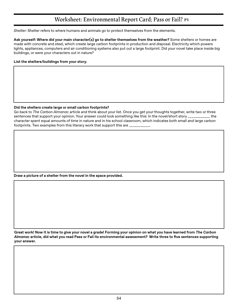### **Worksheet: Environmental Report Card; Pass or Fail? P3**

*Shelter:* Shelter refers to where humans and animals go to protect themselves from the elements.

**Ask yourself: Where did your main character(s) go to shelter themselves from the weather?** Some shelters or homes are made with concrete and steel, which create large carbon footprints in production and disposal. Electricity which powers lights, appliances, computers and air conditioning systems also put out a large footprint. Did your novel take place inside big buildings, or were your characters out in nature?

#### **List the shelters/buildings from your story.**

#### **Did the shelters create large or small carbon footprints?**

Go back to *The Carbon Almanac* article and think about your list. Once you get your thoughts together, write two or three sentences that support your opinion. Your answer could look something like this: In the novel/short story \_\_\_\_\_\_\_\_\_\_\_ the character spent equal amounts of time in nature and in his school classroom, which indicates both small and large carbon footprints. Two examples from this literary work that support this are  $\frac{1}{2}$ 

**Draw a picture of a shelter from the novel in the space provided.**

**Great work! Now it is time to give your novel a grade! Forming your opinion on what you have learned from** *The Carbon Almanac* **article, did what you read Pass or Fail its environmental assessment? Write three to five sentences supporting your answer.**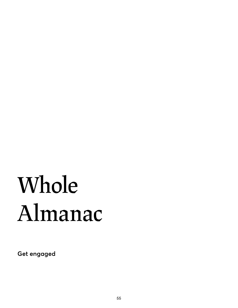## <span id="page-54-0"></span>**Whole Almanac**

**Get engaged**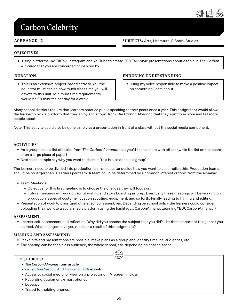

## <span id="page-55-0"></span>**Carbon Celebrity**

#### **AGE RANGE:** 12+

**SUBJECTS:** Arts, Literature, & Social Studies

#### **OBJECTIVES**

• Using platforms like TikTok, Instagram and YouTube to create TED Talk-style presentations about a topic in *The Carbon Almanac* that you are concerned or inspired by.

#### **DURATION:**

• This is an extensive project-based activity. You the educator must decide how much class time you will devote to this unit. Minimum time requirements would be 90 minutes per day for a week.

#### **ENDURING UNDERSTANDING**

• Using my voice responsibly to make a positive impact on something I care about.

Many school districts require that learners practice public speaking to their peers once a year. This assignment would allow the learner to pick a platform that they enjoy and a topic from *The Carbon Almanac* that they want to explore and tell more people about.

Note: This activity could also be done simply as a presentation in front of a class without the social media component.

#### **ACTIVITIES:**

- As a group make a list of topics from *The Carbon Almanac* that you'd like to share with others (write the list on the board or on a large piece of paper)
- Next to each topic say why you want to share it (this is also done in a group)

The learners need to be divided into production teams, educator decide how you want to accomplish this. Production teams should be no larger than 3 learners per team. A team could be determined by a common interest or topic from the almanac.

- Team Meetings
	- Objective for this first meeting is to choose the one idea they will focus on.
	- Future meetings will work on script writing and story boarding as prep. Eventually these meetings will be working on production issues of costume, location scouting, equipment, and so forth. Finally leading to filming and editing.
- Presentation of work to class (and others: school assemblies. Depending on school policy the learners could consider uploading their work to a social media platform using the hashtags #CarbonAlmanacLearning#EDUCarbonAlmanac )

#### **ASSESSMENT:**

• Learner self-assessment and reflection: Why did you choose the subject that you did? List three important things that you learned. What changes have you made as a result of this assignment?

 $\bigoplus$ 

#### **SHARING AND ASSESSMENT:**

- If exhibits and presentations are possible, make plans as a group and identify timeline, audiences, etc.
- The sharing can be for a class audience, the whole school, etc. depending on chosen scope.

#### **RESOURCES:**

- *The Carbon Almanac***, any article**
- *• [Generation Carbon, An Almanac for Kids](https://thecarbonalmanac.org/wp-content/uploads/2022/04/GenC_Book.pdf)* **eBook**
- Access to social media, or view on a projector or TV screen in class
- Recording equipment /smart phones
- Laptops
- Tripod for holding phones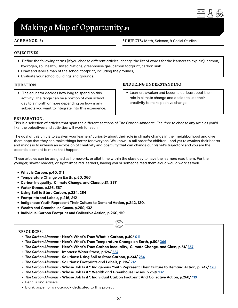

## <span id="page-56-0"></span>**Making a Map of Opportunity ,P1**

#### **AGE RANGE:** 8+

#### **SUBJECTS:** Math, Science, & Social Studies

#### **OBJECTIVES**

- Define the following terms (if you choose different articles, change the list of words for the learners to explain): carbon, hydrogen, soil health, United Nations, greenhouse gas, carbon footprint, carbon sink.
- Draw and label a map of the school footprint, including the grounds,
- Evaluate your school buildings and grounds.

#### **DURATION**

• The educator decides how long to spend on this activity. The range can be a portion of your school day to a month or more depending on how many subjects you want to integrate into this experience.

#### **ENDURING UNDERSTANDING**

• Learners awaken and become curious about their role in climate change and decide to use their creativity to make positive change.

#### **PREPARATION:**

This is a selection of articles that span the different sections of *The Carbon Almanac*. Feel free to choose any articles you'd like; the objectives and activities will work for each.

The goal of this unit is to awaken your learners' curiosity about their role in climate change in their neighborhood and give them hope that they can make things better for everyone. We know—a tall order for children—and yet to awaken their hearts and minds is to unleash an explosion of creativity and positivity that can change our planet's trajectory and you are the essential element to make that happen.

These articles can be assigned as homework, or allot time within the class day to have the learners read them. For the younger, slower readers, or sight-impaired learners, having you or someone read them aloud would work as well.

- **• What is Carbon, p.40, 011**
- **• Temperature Change on Earth, p.50, 366**
- **• Carbon Inequality, Climate Change, and Class, p.81, 357**
- **• Water Stress, p.126, 587**
- **• Using Soil to Store Carbon, p.234, 254**
- **• Footprints and Labels, p.216, 212**
- **• Indigenous Youth Represent Their Culture to Demand Action, p.242, 120.**
- **• Wealth and Greenhouse Gases, p.259, 132**
- **• Individual Carbon Footprint and Collective Action, p.260, 119**

#### **RESOURCES:**

- *The Carbon Almanac* **Here's What's True: What is Carbon, p.40/ [011](https://thecarbonalmanac.org/011/)**
- *The Carbon Almanac* **Here's What's True: Temperature Change on Earth, p.50/ [366](https://thecarbonalmanac.org/366/)**
- *The Carbon Almanac* **Here's What's True: Carbon Inequality, Climate Change, and Class, p.81/ [357](https://thecarbonalmanac.org/357/)**
- *The Carbon Almanac* **Impacts: Water Stress, p.126/ [587](https://thecarbonalmanac.org/587/)**
- *The Carbon Almanac* **Solutions: Using Soil to Store Carbon, p.234/ [254](https://thecarbonalmanac.org/254/)**
- *The Carbon Almanac* **Solutions: Footprints and Labels, p.216/ [212](https://thecarbonalmanac.org/212/)**
- *The Carbon Almanac* **Whose Job Is it?: Indigenous Youth Represent Their Culture to Demand Action, p. 242/ [120](https://thecarbonalmanac.org/120/)**

- *The Carbon Almanac* **Whose Job Is it?: Wealth and Greenhouse Gases, p.259/ [132](https://thecarbonalmanac.org/132/)**
- *The Carbon Almanac* **Whose Job Is it?: Individual Carbon Footprint And Collective Action, p.260/ [119](https://thecarbonalmanac.org/119/)**
- Pencils and erasers
- Blank paper, or a notebook dedicated to this project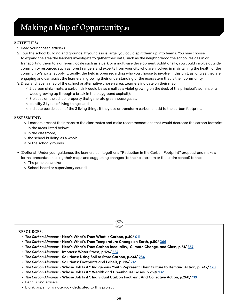## **Making a Map of Opportunity ,P2**

#### **ACTIVITIES:**

- 1. Read your chosen article/s
- 2.Tour the school building and grounds. If your class is large, you could split them up into teams. You may choose to expand the area the learners investigate to gather their data, such as the neighborhood the school resides in or transporting them to a different locale such as a park or a multi-use development. Additionally, you could involve outside community resources such as forest rangers and experts from your city who are involved in maintaining the health of the community's water supply. Literally, the field is open regarding who you choose to involve in this unit, as long as they are engaging and can assist the learners in growing their understanding of the ecosystem that is their community.
- 3.Draw and label a map of the school or alternative chosen area. Learners indicate on their map:
	- ʦ 2 carbon sinks (note: a carbon sink could be as small as a violet growing on the desk of the principal's admin, or a weed growing up through a break in the playground asphalt);
	- ʦ 3 places on the school property that generate greenhouse gases,
	- ʦ identify 3 types of living things, and
	- ʦ indicate beside each of the 3 living things if they use or transform carbon or add to the carbon footprint.

#### **ASSESSMENT:**

- ʦ Learners present their maps to the classmates and make recommendations that would decrease the carbon footprint in the areas listed below:
- ʦ in the classroom,
- ʦ the school building as a whole,
- ʦ or the school grounds

• (Optional) Under your guidance, the learners pull together a "Reduction in the Carbon Footprint" proposal and make a formal presentation using their maps and suggesting changes (to their classroom or the entire school) to the:

- ʦ The principal and/or
- ʦ School board or supervisory council

#### **RESOURCES:**

- *The Carbon Almanac* **Here's What's True: What is Carbon, p.40/ [011](https://thecarbonalmanac.org/011/)**
- *The Carbon Almanac* **Here's What's True: Temperature Change on Earth, p.50/ [366](https://thecarbonalmanac.org/366/)**
- *The Carbon Almanac* **Here's What's True: Carbon Inequality, Climate Change, and Class, p.81/ [357](https://thecarbonalmanac.org/357/)**
- *The Carbon Almanac* **Impacts: Water Stress, p.126/ [587](https://thecarbonalmanac.org/587/)**
- *The Carbon Almanac* **Solutions: Using Soil to Store Carbon, p.234/ [254](https://thecarbonalmanac.org/254/)**
- *The Carbon Almanac* **Solutions: Footprints and Labels, p.216/ [212](https://thecarbonalmanac.org/212/)**
- *The Carbon Almanac* **Whose Job Is it?: Indigenous Youth Represent Their Culture to Demand Action, p. 242/ [120](https://thecarbonalmanac.org/120/)**

- *The Carbon Almanac* **Whose Job Is it?: Wealth and Greenhouse Gases, p.259/ [132](https://thecarbonalmanac.org/132/)**
- *The Carbon Almanac* **Whose Job Is it?: Individual Carbon Footprint And Collective Action, p.260/ [119](https://thecarbonalmanac.org/119/)**
- Pencils and erasers
- Blank paper, or a notebook dedicated to this project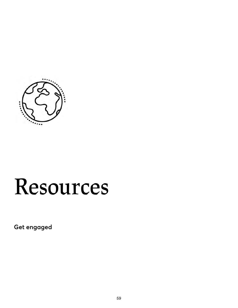<span id="page-58-0"></span>

## **Resources**

**Get engaged**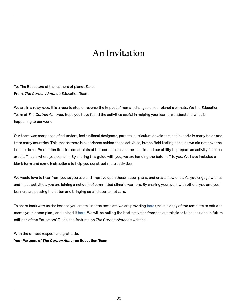## **An Invitation**

<span id="page-59-0"></span>To: The Educators of the learners of planet Earth From: *The Carbon Almanac* Education Team

We are in a relay race. It is a race to stop or reverse the impact of human changes on our planet's climate. We the Education Team of *The Carbon Almanac* hope you have found the activities useful in helping your learners understand what is happening to our world.

Our team was composed of educators, instructional designers, parents, curriculum developers and experts in many fields and from many countries. This means there is experience behind these activities, but no field testing because we did not have the time to do so. Production timeline constraints of this companion volume also limited our ability to prepare an activity for each article. That is where you come in. By sharing this guide with you, we are handing the baton off to you. We have included a blank form and some instructions to help you construct more activities.

We would love to hear from you as you use and improve upon these lesson plans, and create new ones. As you engage with us and these activities, you are joining a network of committed climate warriors. By sharing your work with others, you and your learners are passing the baton and bringing us all closer to net zero.

To share back with us the lessons you create, use the template we are providing [here](https://docs.google.com/document/d/1oO5tWurkG5DDh8ButKq09xydVts3mZOFmkecBRlCPAI/edit) (make a copy of the template to edit and create your lesson plan ) and upload i[t here.](https://docs.google.com/forms/d/1BBoFkvd1splACfYVaaKE4JqghBrLCWeB83Z89WgGb9o/prefill) We will be pulling the best activities from the submissions to be included in future editions of the Educators' Guide and featured on *The Carbon Almanac* website.

With the utmost respect and gratitude,

**Your Partners of** *The Carbon Almanac* **Education Team**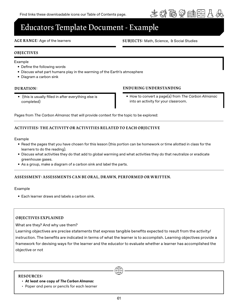

### <span id="page-60-0"></span>**Educators Template Document - Example**

#### **AGE RANGE:** Age of the learners

**SUBJECTS:** Math, Science, & Social Studies

#### **OBJECTIVES**

#### Example

- Define the following words
- Discuss what part humans play in the warming of the Earth's atmosphere
- Diagram a carbon sink

#### **DURATION:**

• (this is usually filled in after everything else is completed)

#### **ENDURING UNDERSTANDING**

• How to convert a page(s) from *The Carbon Almanac* into an activity for your classroom.

Pages from *The Carbon Almanac* that will provide context for the topic to be explored:

#### **ACTIVITIES: THE ACTIVITY OR ACTIVITIES RELATED TO EACH OBJECTIVE**

#### Example

- Read the pages that you have chosen for this lesson (this portion can be homework or time allotted in class for the learners to do the reading).
- Discuss what activities they do that add to global warming and what activities they do that neutralize or eradicate greenhouse gases.
- As a group, make a diagram of a carbon sink and label the parts.

#### **ASSESSMENT: ASSESSMENTS CAN BE OR AL, DR AW N, PERFORMED OR WRITTEN.**

#### Example

• Each learner draws and labels a carbon sink.

#### **OBJECTIVES EXPLAINED**

What are they? And why use them?

Learning objectives are precise statements that express tangible benefits expected to result from the activity/ instruction. The benefits are indicated in terms of what the learner is to accomplish. Learning objectives provide a framework for devising ways for the learner and the educator to evaluate whether a learner has accomplished the objective or not

#### **RESOURCES:**

- **• At least one copy of** *The Carbon Almanac*
- Paper and pens or pencils for each learner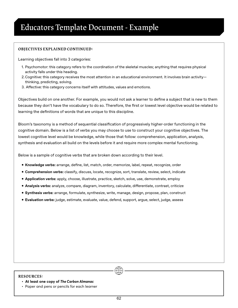#### **OBJECTIVES EXPLAINED CONTINUED:**

Learning objectives fall into 3 categories:

- 1. Psychomotor: this category refers to the coordination of the skeletal muscles; anything that requires physical activity falls under this heading.
- 2.Cognitive: this category receives the most attention in an educational environment. It involves brain activity thinking, predicting, solving.
- 3. Affective: this category concerns itself with attitudes, values and emotions.

Objectives build on one another. For example, you would not ask a learner to define a subject that is new to them because they don't have the vocabulary to do so. Therefore, the first or lowest level objective would be related to learning the definitions of words that are unique to this discipline.

Bloom's taxonomy is a method of sequential classification of progressively higher-order functioning in the cognitive domain. Below is a list of verbs you may choose to use to construct your cognitive objectives. The lowest cognitive level would be knowledge, while those that follow: comprehension, application, analysis, synthesis and evaluation all build on the levels before it and require more complex mental functioning.

Below is a sample of cognitive verbs that are broken down according to their level.

- **• Knowledge verbs:** arrange, define, list, match, order, memorize, label, repeat, recognize, order
- **• Comprehension verbs:** classify, discuss, locate, recognize, sort, translate, review, select, indicate
- **• Application verbs:** apply, choose, illustrate, practice, sketch, solve, use, demonstrate, employ
- **• Analysis verbs:** analyze, compare, diagram, inventory, calculate, differentiate, contrast, criticize
- **• Synthesis verbs:** arrange, formulate, synthesize, write, manage, design, propose, plan, construct
- **• Evaluation verbs:** judge, estimate, evaluate, value, defend, support, argue, select, judge, assess

#### **RESOURCES:**

- **• At least one copy of** *The Carbon Almanac*
- Paper and pens or pencils for each learner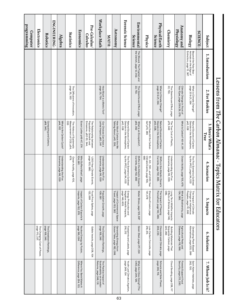<span id="page-62-0"></span>

|                                  |                                                                                | Lessons from The Carbon Almanac - Topics Ma                | 3. Here's What's                                                            |                                                                    | trix for Educators                                                      |                                                               |                                                                                 |
|----------------------------------|--------------------------------------------------------------------------------|------------------------------------------------------------|-----------------------------------------------------------------------------|--------------------------------------------------------------------|-------------------------------------------------------------------------|---------------------------------------------------------------|---------------------------------------------------------------------------------|
| Subject                          | 1. Introduction                                                                | 2. For Rookies                                             | True                                                                        | 4. Scenarios                                                       | 5. Impacts                                                              | ē.<br>Solutions                                               | 7. Whose Job Is it?                                                             |
| <b>SCIENCE:</b>                  |                                                                                |                                                            |                                                                             |                                                                    |                                                                         |                                                               |                                                                                 |
| <b>Biology</b>                   | Beyond the Polar Bear -<br>Animals on the Edge of<br>Extinction, page 13, 367. | What is Climate Change?<br>page 20 & 21, 354               | Dioxide in the Atmosphere,<br>p42, 028<br>Natural Sources of Carbon         | The Five Scenarios Outlined<br>by the IPCC, page 94, 033           | The Impact of Climate<br>Change on Indigenous<br>Peoples, page 111, 595 | Alternatives, page 203, 099<br>Developing Plant-Based         | Saint Kateri Habitats, page<br>262, 130.                                        |
| Anatomy and<br>Physiology        |                                                                                | Climate Change In Front of<br>Your Eyes, page 28 & 29, 079 | What Is Carbon? 40-41, 011                                                  | Ocean Acidity, page 105, 679.                                      | What is Biodiversity, page<br>134, 065.                                 | Agricultural Pests and<br>Diseases, page 118, 596.            | Forests Support Food<br>Security, page 213, 250.                                |
| Chemistry                        |                                                                                | The Greenhouse Effect, page<br>22, 753.                    | The True Cost of Plastic,<br>p79, 346                                       | Understanding the Five<br>Scenarios, page 96, 039                  | Long-Term Wildfire Impacts:<br>Effects of Smoke, page 148,<br>085.      | Sequester Carbon, page<br>220, 265<br>Building Materials That | Cloud Seeding, page 258, 117                                                    |
| Physical/Earth<br><b>Science</b> |                                                                                | What is Climate Change?<br>page 20 & 21, 354.              | p42, 028,<br>Natural Sources of Carbon<br>Dioxide in the Atmosphere,        | Shifts in the Atlantic Ocean's<br>Currents, page 102, 683.         | The Impact of Thawing<br>Permafrost, page 142, 486.                     | Chocolate and Climate, page<br>206, 233.                      | Schools and Solar Power,<br>page 245, 116.                                      |
| Physics                          |                                                                                |                                                            | Where Does All the Carbon<br>Go? p70, 365                                   | 089<br>10-, 50-, 100-, and 1,000-Year<br>Climate Events, page 100, | Shoreline Erosion, page<br>141, O78                                     | Low-Carbon Concrete, page<br>218, 213.                        |                                                                                 |
| Environmental<br><b>Science</b>  | The Wizard, The Prophet and<br>the Ostrich, page 12, 002.                      | The Greenhouse Effect, page<br>22, 753.                    | What Is an Ecosystem?,<br>p55, 352                                          | Shifts in the Atlantic Ocean's<br>Currents, page 102, 683          | Water Stress, page 126, 587                                             | Green Steel, page 217, 224                                    | What Are Cities Doing? (The<br>C40), page 244, 126.                             |
| Forensic Science                 |                                                                                |                                                            | p42, 028<br>Dioxide in the Atmosphere,<br>Natural Sources of Carbon         | The Five Scenarios Outlined<br>by the IPCC, page 94, 033           | Energy Production and<br>Negative Health Impacts,<br>page 146, 605.     | Footprints and Labels, page<br>216, 212                       | page 249, 134<br>Youth-Led Climate Litigation,                                  |
| Astronomy                        |                                                                                |                                                            | How Much Carbon Are We<br>Talking About, p43, 336,                          |                                                                    | Impact of Commercial Space<br>Travel, page 153, 082                     | Generating Energy from<br>Ocean Tides, page 182, 098.         |                                                                                 |
| <b>MATH:</b>                     |                                                                                |                                                            |                                                                             |                                                                    |                                                                         |                                                               |                                                                                 |
| Workplace Math                   |                                                                                | How Much is a Metric Ton?<br>page 25, 754.                 | Our Choices Can Have a<br>Lethal Impact, p60, 341                           | Understanding the Five<br>Scenarios, page 96, 039                  | Population Growth, page<br>109, 581                                     | page 158, 245<br>The Drawdown Rankings                        | The Positive Impact of<br>Sustainability on Investor<br>Returns, page 248, 131. |
| Pre-Calculus/<br>Calculus        |                                                                                |                                                            | Emissions, p52-53, 344<br>Population Growth and<br>The Relationship between | 1,000-Year Climate Events,<br>page 100, 680.                       | Food Price Spikes, page<br>122, 599                                     | Edible Insects, page 208, 104                                 |                                                                                 |
| Economics                        |                                                                                |                                                            | Exxon Letter p46-47, 374                                                    | Who Suffers Most?, page<br>104, 681.                               | Imports, page 152, 578.<br>Impact of Carbon Exports &                   | Nuclear Energy by Fusion,<br>page 186, 094                    | Where You Bank Makes A<br>Difference, page 254, 133.                            |
| Statistics                       |                                                                                | The Diffusions of Innovation,<br>page 35, 353              | The History of Systematic<br>Measurement of CO2, p54,<br>035                | Ocean Acidity, page 105,<br>679.                                   |                                                                         |                                                               |                                                                                 |
| ${\rm Age}$ bra                  |                                                                                |                                                            | What Is the Carbon Cycle?<br>p44, 012                                       | Understanding the Five<br>Scenarios, page 96, 039                  |                                                                         |                                                               |                                                                                 |
| <b>ENGINEERING:</b>              |                                                                                |                                                            |                                                                             |                                                                    |                                                                         |                                                               |                                                                                 |
| Robotics                         |                                                                                |                                                            | p88, 340,<br>Computing and Carbon,                                          |                                                                    |                                                                         | page 158, 245.<br>The Drawdown Rankings                       |                                                                                 |
| Electronics                      |                                                                                |                                                            |                                                                             |                                                                    |                                                                         | page 170, 237.<br>The Changing Cost of Power,                 |                                                                                 |
| programming<br>Computer          |                                                                                |                                                            |                                                                             |                                                                    |                                                                         |                                                               |                                                                                 |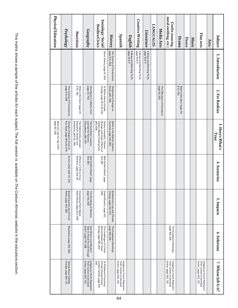| Physical Education                          | Psychology                                                 | Nutrition                                                                    | Geography                                                                       | Sociology/Social<br>Studies/Civics                                                                     | History                                                    | Spanish                                                                         | English                                      | <b>Creative Writing</b>                      | Literature                                   | LANGUAGES: | Media Arts                                     | metal smithing, etc.)<br>Crafts (weaving,                                       | Drama                                   | Dance | <b>Music</b> | Fine arts                                                                       | Arts: | Subject                  |
|---------------------------------------------|------------------------------------------------------------|------------------------------------------------------------------------------|---------------------------------------------------------------------------------|--------------------------------------------------------------------------------------------------------|------------------------------------------------------------|---------------------------------------------------------------------------------|----------------------------------------------|----------------------------------------------|----------------------------------------------|------------|------------------------------------------------|---------------------------------------------------------------------------------|-----------------------------------------|-------|--------------|---------------------------------------------------------------------------------|-------|--------------------------|
|                                             |                                                            |                                                                              |                                                                                 | Game Theory, page 15, 004                                                                              | The Tyranny of Convenience,<br>page 6-9, 008               |                                                                                 | A Brave and Startling Truth,<br>page 16 & 17 | A Brave and Startling Truth,<br>page 16 & 17 | A Brave and Startling Truth,<br>page 16 & 17 |            |                                                |                                                                                 |                                         |       |              |                                                                                 |       | 1. Introduction          |
|                                             | The Tyranny of Convenience,<br>page 6-9, 008               | What is Net Zero? page 30<br>& 31, 755.                                      | page 25, 754.<br>How Much is a Metric Ton?                                      | Change, page 32 & 33, 342<br>10 Myths About Climate                                                    | Temperature Change on<br>Earth, p50, 366                   |                                                                                 |                                              |                                              |                                              |            | page 35, 353.<br>The Diffusions of Innovation, |                                                                                 | What is Net Zero? page 30<br>& 31, 755. |       |              |                                                                                 |       | 2. For Rookies           |
| What Do I Get for 1kg CO2?,<br>page 62, 338 | Climate Change In Front of<br>Your Eyes, page 28 & 29, 079 | Population Growth and<br>Emissions, p52-53, 344.<br>The Relationship between | Everywhere, p80, 337<br>The Dust Bowl: Lessons<br>Learned for Farmers           | Change, and Class, Effects of<br>p85, 606,<br>Carbon-Based Cooking Fuel,<br>Carbon Inequality, Climate | Shifts in the Atlantic Ocean's<br>Currents, page 102, 683. |                                                                                 |                                              |                                              |                                              |            |                                                |                                                                                 |                                         |       |              |                                                                                 |       | 3. Here's What's<br>True |
|                                             | Exxon Letter p46-47, 374,                                  | Effects of CO2 on Crop<br>Nutrition, page 124, 56                            | Who Suffers Most?, page<br>104, 681.                                            | Who Suffers Most?, page<br>104, 681                                                                    |                                                            |                                                                                 |                                              |                                              |                                              |            |                                                |                                                                                 |                                         |       |              |                                                                                 |       | 4. Scenarios             |
|                                             | Bleaching and Loss of Coral<br>Reefs, page 140, 592        | Alternatives, page 203, 099<br>Developing Plant-Based                        | page 143, 593<br>The Shrinking of Glaciers,                                     | 990<br>Desertification, page 130,                                                                      | Biodiversity Loss and Climate<br>Change, page 135, 074     |                                                                                 |                                              |                                              |                                              |            |                                                |                                                                                 |                                         |       |              |                                                                                 |       | 5. Impacts               |
|                                             | Bioplastics, page 162, 256.                                |                                                                              | Solar?, page 176, 088<br>How Much Land Would It<br>Take to Power the US through | Mineral Needs for Clean<br>Energy, page 198, 264<br>The Challenges of Critical                         | The Drawdown Rankings.<br>page 158, 245.                   |                                                                                 |                                              |                                              |                                              |            |                                                | The Drawdown Rankings,<br>page 158, 245.                                        |                                         |       |              |                                                                                 |       | 6. Solutions             |
|                                             | Talking About Climate<br>Change, page 261, 127             |                                                                              | Action, page 242, 120.<br>Their Culture to Demand<br>Indigenous Youth Represent | Content Online, page 257,<br>Climate Change Denial<br>345<br>10 Publishers Promoting                   |                                                            | Action, page 242, 120.<br>Indigenous Youth Represent<br>Their Culture to Demand |                                              |                                              |                                              |            |                                                | Action, page 242, 120.<br>Indigenous Youth Represent<br>Their Culture to Demand |                                         |       |              | Action, page 242, 120.<br>Their Culture to Demand<br>Indigenous Youth Represent |       | 7. Whose Job Is it?      |